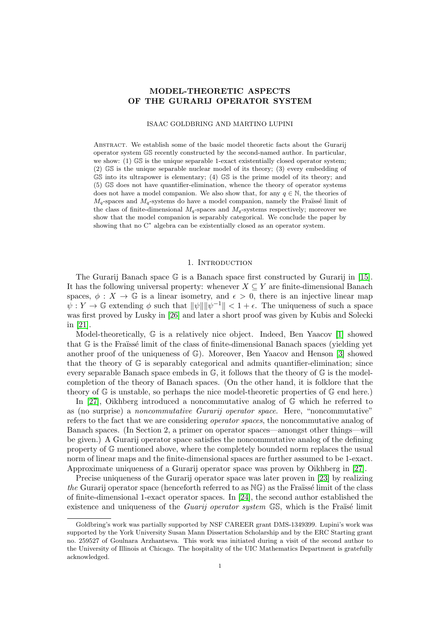# MODEL-THEORETIC ASPECTS OF THE GURARIJ OPERATOR SYSTEM

#### ISAAC GOLDBRING AND MARTINO LUPINI

Abstract. We establish some of the basic model theoretic facts about the Gurarij operator system GS recently constructed by the second-named author. In particular, we show: (1) GS is the unique separable 1-exact existentially closed operator system; (2) GS is the unique separable nuclear model of its theory; (3) every embedding of GS into its ultrapower is elementary; (4) GS is the prime model of its theory; and (5) GS does not have quantifier-elimination, whence the theory of operator systems does not have a model companion. We also show that, for any  $q \in \mathbb{N}$ , the theories of  $M_q$ -spaces and  $M_q$ -systems do have a model companion, namely the Fraüssé limit of the class of finite-dimensional  $M_q$ -spaces and  $M_q$ -systems respectively; moreover we show that the model companion is separably categorical. We conclude the paper by showing that no C<sup>\*</sup> algebra can be existentially closed as an operator system.

#### 1. INTRODUCTION

The Gurarij Banach space  $\mathbb G$  is a Banach space first constructed by Gurarij in [\[15\]](#page-19-0). It has the following universal property: whenever  $X \subseteq Y$  are finite-dimensional Banach spaces,  $\phi: X \to \mathbb{G}$  is a linear isometry, and  $\epsilon > 0$ , there is an injective linear map  $\psi: Y \to \mathbb{G}$  extending  $\phi$  such that  $\|\psi\| \|\psi^{-1}\| < 1 + \epsilon$ . The uniqueness of such a space was first proved by Lusky in [\[26\]](#page-19-1) and later a short proof was given by Kubis and Solecki in [\[21\]](#page-19-2).

Model-theoretically, G is a relatively nice object. Indeed, Ben Yaacov [\[1\]](#page-18-0) showed that  $\mathbb G$  is the Fraüsse limit of the class of finite-dimensional Banach spaces (yielding yet another proof of the uniqueness of  $\mathbb{G}$ ). Moreover, Ben Yaacov and Henson [\[3\]](#page-18-1) showed that the theory of  $\mathbb{G}$  is separably categorical and admits quantifier-elimination; since every separable Banach space embeds in  $\mathbb{G}$ , it follows that the theory of  $\mathbb{G}$  is the modelcompletion of the theory of Banach spaces. (On the other hand, it is folklore that the theory of  $\mathbb{G}$  is unstable, so perhaps the nice model-theoretic properties of  $\mathbb{G}$  end here.)

In [\[27\]](#page-19-3), Oikhberg introduced a noncommutative analog of G which he referred to as (no surprise) a noncommutative Gurarij operator space. Here, "noncommutative" refers to the fact that we are considering operator spaces, the noncommutative analog of Banach spaces. (In Section 2, a primer on operator spaces—amongst other things—will be given.) A Gurarij operator space satisfies the noncommutative analog of the defining property of G mentioned above, where the completely bounded norm replaces the usual norm of linear maps and the finite-dimensional spaces are further assumed to be 1-exact. Approximate uniqueness of a Gurarij operator space was proven by Oikhberg in [\[27\]](#page-19-3).

Precise uniqueness of the Gurarij operator space was later proven in [\[23\]](#page-19-4) by realizing the Gurarij operator space (henceforth referred to as  $N\mathbb{G}$ ) as the Fraïssé limit of the class of finite-dimensional 1-exact operator spaces. In [\[24\]](#page-19-5), the second author established the existence and uniqueness of the *Guarij operator system*  $\mathbb{GS}$ , which is the Fraïsé limit

Goldbring's work was partially supported by NSF CAREER grant DMS-1349399. Lupini's work was supported by the York University Susan Mann Dissertation Scholarship and by the ERC Starting grant no. 259527 of Goulnara Arzhantseva. This work was initiated during a visit of the second author to the University of Illinois at Chicago. The hospitality of the UIC Mathematics Department is gratefully acknowledged.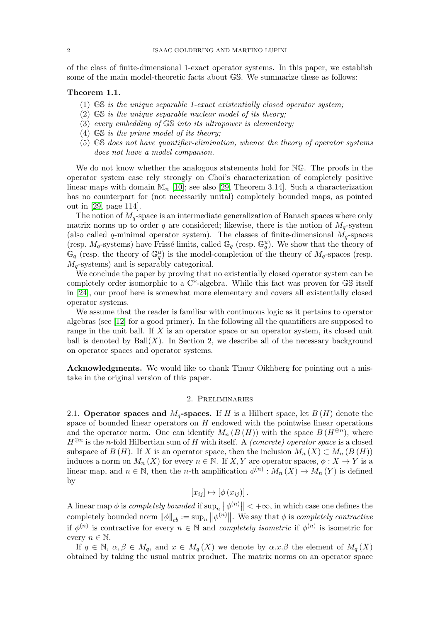of the class of finite-dimensional 1-exact operator systems. In this paper, we establish some of the main model-theoretic facts about GS. We summarize these as follows:

#### Theorem 1.1.

- (1) GS is the unique separable 1-exact existentially closed operator system;
- (2) GS is the unique separable nuclear model of its theory;
- (3) every embedding of GS into its ultrapower is elementary;
- (4) GS is the prime model of its theory;
- (5) GS does not have quantifier-elimination, whence the theory of operator systems does not have a model companion.

We do not know whether the analogous statements hold for NG. The proofs in the operator system case rely strongly on Choi's characterization of completely positive linear maps with domain  $\mathbb{M}_n$  [\[10\]](#page-18-2); see also [\[29,](#page-19-6) Theorem 3.14]. Such a characterization has no counterpart for (not necessarily unital) completely bounded maps, as pointed out in [\[29,](#page-19-6) page 114].

The notion of  $M_q$ -space is an intermediate generalization of Banach spaces where only matrix norms up to order q are considered; likewise, there is the notion of  $M_q$ -system (also called q-minimal operator system). The classes of finite-dimensional  $M_q$ -spaces (resp.  $M_q$ -systems) have Früssé limits, called  $\mathbb{G}_q$  (resp.  $\mathbb{G}_q^u$ ). We show that the theory of  $\mathbb{G}_q$  (resp. the theory of  $\mathbb{G}_q^u$ ) is the model-completion of the theory of  $M_q$ -spaces (resp.  $M_q$ -systems) and is separably categorical.

We conclude the paper by proving that no existentially closed operator system can be completely order isomorphic to a C\*-algebra. While this fact was proven for GS itself in [\[24\]](#page-19-5), our proof here is somewhat more elementary and covers all existentially closed operator systems.

We assume that the reader is familiar with continuous logic as it pertains to operator algebras (see [\[12\]](#page-18-3) for a good primer). In the following all the quantifiers are supposed to range in the unit ball. If X is an operator space or an operator system, its closed unit ball is denoted by  $Ball(X)$ . In Section 2, we describe all of the necessary background on operator spaces and operator systems.

Acknowledgments. We would like to thank Timur Oikhberg for pointing out a mistake in the original version of this paper.

#### 2. Preliminaries

2.1. Operator spaces and  $M_q$ -spaces. If H is a Hilbert space, let  $B(H)$  denote the space of bounded linear operators on  $H$  endowed with the pointwise linear operations and the operator norm. One can identify  $M_n(B(H))$  with the space  $B(H^{\oplus n})$ , where  $H^{\oplus n}$  is the n-fold Hilbertian sum of H with itself. A *(concrete) operator space* is a closed subspace of  $B(H)$ . If X is an operator space, then the inclusion  $M_n(X) \subset M_n(B(H))$ induces a norm on  $M_n(X)$  for every  $n \in \mathbb{N}$ . If X, Y are operator spaces,  $\phi: X \to Y$  is a linear map, and  $n \in \mathbb{N}$ , then the *n*-th amplification  $\phi^{(n)} : M_n(X) \to M_n(Y)$  is defined by

$$
[x_{ij}] \mapsto [\phi(x_{ij})].
$$

A linear map  $\phi$  is *completely bounded* if  $\sup_n ||\phi^{(n)}|| < +\infty$ , in which case one defines the completely bounded norm  $\|\phi\|_{cb} := \sup_n \|\phi^{(n)}\|$ . We say that  $\phi$  is completely contractive if  $\phi^{(n)}$  is contractive for every  $n \in \mathbb{N}$  and *completely isometric* if  $\phi^{(n)}$  is isometric for every  $n \in \mathbb{N}$ .

If  $q \in \mathbb{N}, \alpha, \beta \in M_q$ , and  $x \in M_q(X)$  we denote by  $\alpha.x.\beta$  the element of  $M_q(X)$ obtained by taking the usual matrix product. The matrix norms on an operator space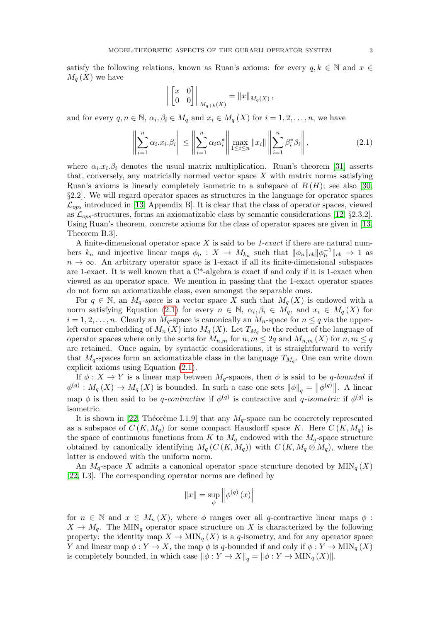satisfy the following relations, known as Ruan's axioms: for every  $q, k \in \mathbb{N}$  and  $x \in$  $M_a(X)$  we have

$$
\left\| \begin{bmatrix} x & 0 \\ 0 & 0 \end{bmatrix} \right\|_{M_{q+k}(X)} = \|x\|_{M_q(X)},
$$

and for every  $q, n \in \mathbb{N}, \alpha_i, \beta_i \in M_q$  and  $x_i \in M_q(X)$  for  $i = 1, 2, \ldots, n$ , we have

<span id="page-2-0"></span>
$$
\left\| \sum_{i=1}^{n} \alpha_i x_i \beta_i \right\| \le \left\| \sum_{i=1}^{n} \alpha_i \alpha_i^* \right\| \max_{1 \le i \le n} \|x_i\| \left\| \sum_{i=1}^{n} \beta_i^* \beta_i \right\|,
$$
\n(2.1)

where  $\alpha_i x_i \beta_i$  denotes the usual matrix multiplication. Ruan's theorem [\[31\]](#page-19-7) asserts that, conversely, any matricially normed vector space  $X$  with matrix norms satisfying Ruan's axioms is linearly completely isometric to a subspace of  $B(H)$ ; see also [\[30,](#page-19-8) §2.2]. We will regard operator spaces as structures in the language for operator spaces  $\mathcal{L}_{ops}$  introduced in [\[13,](#page-19-9) Appendix B]. It is clear that the class of operator spaces, viewed as  $\mathcal{L}_{obs}$ -structures, forms an axiomatizable class by semantic considerations [\[12,](#page-18-3) §2.3.2]. Using Ruan's theorem, concrete axioms for the class of operator spaces are given in [\[13,](#page-19-9) Theorem B.3].

A finite-dimensional operator space  $X$  is said to be 1-exact if there are natural numbers  $k_n$  and injective linear maps  $\phi_n: X \to M_{k_n}$  such that  $\|\phi_n\|_{cb} \|\phi_n^{-1}\|_{cb} \to 1$  as  $n \to \infty$ . An arbitrary operator space is 1-exact if all its finite-dimensional subspaces are 1-exact. It is well known that a C\*-algebra is exact if and only if it is 1-exact when viewed as an operator space. We mention in passing that the 1-exact operator spaces do not form an axiomatizable class, even amongst the separable ones.

For  $q \in \mathbb{N}$ , an  $M_q$ -space is a vector space X such that  $M_q(X)$  is endowed with a norm satisfying Equation [\(2.1\)](#page-2-0) for every  $n \in \mathbb{N}$ ,  $\alpha_i, \beta_i \in M_q$ , and  $x_i \in M_q(X)$  for  $i = 1, 2, \ldots, n$ . Clearly an  $M_q$ -space is canonically an  $M_n$ -space for  $n \leq q$  via the upperleft corner embedding of  $M_n(X)$  into  $M_q(X)$ . Let  $T_{M_q}$  be the reduct of the language of operator spaces where only the sorts for  $M_{n,m}$  for  $n, m \leq 2q$  and  $M_{n,m}(X)$  for  $n, m \leq q$ are retained. Once again, by syntactic considerations, it is straightforward to verify that  $M_q$ -spaces form an axiomatizable class in the language  $T_{M_q}$ . One can write down explicit axioms using Equation [\(2.1\)](#page-2-0).

If  $\phi: X \to Y$  is a linear map between  $M_q$ -spaces, then  $\phi$  is said to be q-bounded if  $\phi^{(q)} : M_q(X) \to M_q(X)$  is bounded. In such a case one sets  $\|\phi\|_q = \|\phi^{(q)}\|$ . A linear map  $\phi$  is then said to be q-contractive if  $\phi^{(q)}$  is contractive and q-isometric if  $\phi^{(q)}$  is isometric.

It is shown in [\[22,](#page-19-10) Théorème I.1.9] that any  $M_q$ -space can be concretely represented as a subspace of  $C(K, M_q)$  for some compact Hausdorff space K. Here  $C(K, M_q)$  is the space of continuous functions from K to  $M_q$  endowed with the  $M_q$ -space structure obtained by canonically identifying  $M_q(C(K, M_q))$  with  $C(K, M_q \otimes M_q)$ , where the latter is endowed with the uniform norm.

An  $M_q$ -space X admits a canonical operator space structure denoted by  $\text{MIN}_q(X)$ [\[22,](#page-19-10) I.3]. The corresponding operator norms are defined by

$$
||x|| = \sup_{\phi} \left\| \phi^{(q)} (x) \right\|
$$

for  $n \in \mathbb{N}$  and  $x \in M_n(X)$ , where  $\phi$  ranges over all q-contractive linear maps  $\phi$ :  $X \to M_q$ . The MIN<sub>q</sub> operator space structure on X is characterized by the following property: the identity map  $X \to \text{MIN}_q(X)$  is a q-isometry, and for any operator space Y and linear map  $\phi: Y \to X$ , the map  $\phi$  is q-bounded if and only if  $\phi: Y \to \text{MIN}_q(X)$ is completely bounded, in which case  $\|\phi: Y \to X\|_q = \|\phi: Y \to \text{MIN}_q(X)\|.$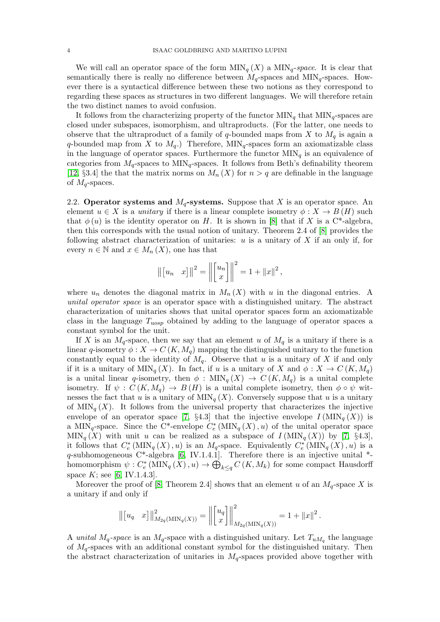We will call an operator space of the form  $\text{MIN}_q(X)$  a  $\text{MIN}_q\text{-space}$ . It is clear that semantically there is really no difference between  $M_q$ -spaces and  $\text{MIN}_q$ -spaces. However there is a syntactical difference between these two notions as they correspond to regarding these spaces as structures in two different languages. We will therefore retain the two distinct names to avoid confusion.

It follows from the characterizing property of the functor  $\text{MIN}_q$  that  $\text{MIN}_q$ -spaces are closed under subspaces, isomorphism, and ultraproducts. (For the latter, one needs to observe that the ultraproduct of a family of q-bounded maps from X to  $M_q$  is again a q-bounded map from X to  $M_q$ .) Therefore,  $\text{MIN}_q$ -spaces form an axiomatizable class in the language of operator spaces. Furthermore the functor  $\text{MIN}_q$  is an equivalence of categories from  $M_q$ -spaces to  $\text{MIN}_q$ -spaces. It follows from Beth's definability theorem [\[12,](#page-18-3) §3.4] the that the matrix norms on  $M_n(X)$  for  $n > q$  are definable in the language of  $M_q$ -spaces.

2.2. Operator systems and  $M_q$ -systems. Suppose that X is an operator space. An element  $u \in X$  is a *unitary* if there is a linear complete isometry  $\phi: X \to B(H)$  such that  $\phi(u)$  is the identity operator on H. It is shown in [\[8\]](#page-18-4) that if X is a C<sup>\*</sup>-algebra, then this corresponds with the usual notion of unitary. Theorem 2.4 of [\[8\]](#page-18-4) provides the following abstract characterization of unitaries:  $u$  is a unitary of  $X$  if an only if, for every  $n \in \mathbb{N}$  and  $x \in M_n(X)$ , one has that

$$
\| [u_n \ x] \|^2 = \left\| \begin{bmatrix} u_n \\ x \end{bmatrix} \right\|^2 = 1 + \|x\|^2,
$$

where  $u_n$  denotes the diagonal matrix in  $M_n(X)$  with u in the diagonal entries. A unital operator space is an operator space with a distinguished unitary. The abstract characterization of unitaries shows that unital operator spaces form an axiomatizable class in the language  $T_{uosp}$  obtained by adding to the language of operator spaces a constant symbol for the unit.

If X is an  $M_q$ -space, then we say that an element u of  $M_q$  is a unitary if there is a linear q-isometry  $\phi: X \to C(K, M_q)$  mapping the distinguished unitary to the function constantly equal to the identity of  $M_q$ . Observe that u is a unitary of X if and only if it is a unitary of MIN<sub>q</sub> (X). In fact, if u is a unitary of X and  $\phi: X \to C(K, M_q)$ is a unital linear q-isometry, then  $\phi: \text{MIN}_q(X) \to C(K, M_q)$  is a unital complete isometry. If  $\psi : C(K, M_q) \to B(H)$  is a unital complete isometry, then  $\phi \circ \psi$  witnesses the fact that u is a unitary of  $\text{MIN}_q(X)$ . Conversely suppose that u is a unitary of  $\text{MIN}_q(X)$ . It follows from the universal property that characterizes the injective envelope of an operator space [\[7,](#page-18-5) §4.3] that the injective envelope  $I(MIN_q(X))$  is a MIN<sub>q</sub>-space. Since the C<sup>\*</sup>-envelope  $C_e^*$  (MIN<sub>q</sub> (X), u) of the unital operator space  $\text{MIN}_q(X)$  with unit u can be realized as a subspace of  $I(\text{MIN}_q(X))$  by [\[7,](#page-18-5) §4.3], it follows that  $C_e^*$  (MIN<sub>q</sub> (X), u) is an  $M_q$ -space. Equivalently  $C_e^*$  (MIN<sub>q</sub> (X), u) is a  $q$ -subhomogeneous C<sup>\*</sup>-algebra [\[6,](#page-18-6) IV.1.4.1]. Therefore there is an injective unital  $*$ homomorphism  $\psi: C^*_e(\text{MIN}_q(X), u) \to \bigoplus_{k \leq q} C(K, M_k)$  for some compact Hausdorff space  $K$ ; see [\[6,](#page-18-6) IV.1.4.3].

Moreover the proof of [\[8,](#page-18-4) Theorem 2.4] shows that an element u of an  $M_q$ -space X is a unitary if and only if

$$
\left\| \begin{bmatrix} u_q & x \end{bmatrix} \right\|_{M_{2q}(\text{MIN}_q(X))}^2 = \left\| \begin{bmatrix} u_q \\ x \end{bmatrix} \right\|_{M_{2q}(\text{MIN}_q(X))}^2 = 1 + \|x\|^2.
$$

A unital  $M_q$ -space is an  $M_q$ -space with a distinguished unitary. Let  $T_{uM_q}$  the language of  $M_q$ -spaces with an additional constant symbol for the distinguished unitary. Then the abstract characterization of unitaries in  $M_q$ -spaces provided above together with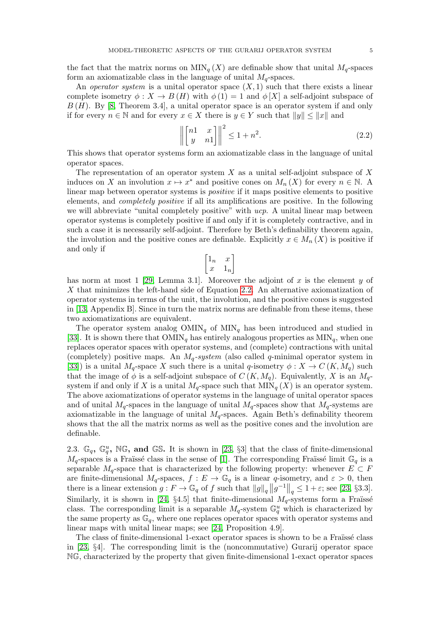the fact that the matrix norms on  $\text{MIN}_q(X)$  are definable show that unital  $M_q$ -spaces form an axiomatizable class in the language of unital  $M_q$ -spaces.

An *operator system* is a unital operator space  $(X, 1)$  such that there exists a linear complete isometry  $\phi: X \to B(H)$  with  $\phi(1) = 1$  and  $\phi[X]$  a self-adjoint subspace of  $B(H)$ . By [\[8,](#page-18-4) Theorem 3.4], a unital operator space is an operator system if and only if for every  $n \in \mathbb{N}$  and for every  $x \in X$  there is  $y \in Y$  such that  $||y|| \leq ||x||$  and

<span id="page-4-0"></span>
$$
\left\| \begin{bmatrix} n1 & x \\ y & n1 \end{bmatrix} \right\|^2 \le 1 + n^2. \tag{2.2}
$$

This shows that operator systems form an axiomatizable class in the language of unital operator spaces.

The representation of an operator system  $X$  as a unital self-adjoint subspace of  $X$ induces on X an involution  $x \mapsto x^*$  and positive cones on  $M_n(X)$  for every  $n \in \mathbb{N}$ . A linear map between operator systems is positive if it maps positive elements to positive elements, and completely positive if all its amplifications are positive. In the following we will abbreviate "unital completely positive" with  $ucp$ . A unital linear map between operator systems is completely positive if and only if it is completely contractive, and in such a case it is necessarily self-adjoint. Therefore by Beth's definability theorem again, the involution and the positive cones are definable. Explicitly  $x \in M_n(X)$  is positive if and only if

$$
\begin{bmatrix} 1_n & x \\ x & 1_n \end{bmatrix}
$$

has norm at most 1 [\[29,](#page-19-6) Lemma 3.1]. Moreover the adjoint of x is the element y of X that minimizes the left-hand side of Equation [2.2.](#page-4-0) An alternative axiomatization of operator systems in terms of the unit, the involution, and the positive cones is suggested in [\[13,](#page-19-9) Appendix B]. Since in turn the matrix norms are definable from these items, these two axiomatizations are equivalent.

The operator system analog  $OMIN<sub>q</sub>$  of  $MIN<sub>q</sub>$  has been introduced and studied in [\[33\]](#page-19-11). It is shown there that  $OMIN<sub>q</sub>$  has entirely analogous properties as  $MIN<sub>q</sub>$ , when one replaces operator spaces with operator systems, and (complete) contractions with unital (completely) positive maps. An  $M_q$ -system (also called q-minimal operator system in [\[33\]](#page-19-11)) is a unital  $M_q$ -space X such there is a unital q-isometry  $\phi: X \to C(K, M_q)$  such that the image of  $\phi$  is a self-adjoint subspace of  $C(K, M_q)$ . Equivalently, X is an  $M_q$ system if and only if X is a unital  $M_q$ -space such that  $\text{MIN}_q(X)$  is an operator system. The above axiomatizations of operator systems in the language of unital operator spaces and of unital  $M_q$ -spaces in the language of unital  $M_q$ -spaces show that  $M_q$ -systems are axiomatizable in the language of unital  $M_q$ -spaces. Again Beth's definability theorem shows that the all the matrix norms as well as the positive cones and the involution are definable.

2.3.  $\mathbb{G}_q$ ,  $\mathbb{G}_q^u$ , NG, and GS. It is shown in [\[23,](#page-19-4) §3] that the class of finite-dimensional  $M_q$ -spaces is a Fraüssé class in the sense of [\[1\]](#page-18-0). The corresponding Fraüssé limit  $\mathbb{G}_q$  is a separable  $M_q$ -space that is characterized by the following property: whenever  $E \subset F$ are finite-dimensional  $M_q$ -spaces,  $f : E \to \mathbb{G}_q$  is a linear q-isometry, and  $\varepsilon > 0$ , then there is a linear extension  $g: F \to \mathbb{G}_q$  of f such that  $||g||_q ||g^{-1}||_q \leq 1 + \varepsilon$ ; see [\[23,](#page-19-4) §3.3]. Similarly, it is shown in [\[24,](#page-19-5)  $\S 4.5$ ] that finite-dimensional  $M_q$ -systems form a Fraüssé class. The corresponding limit is a separable  $M_q$ -system  $\mathbb{G}_q^u$  which is characterized by the same property as  $\mathbb{G}_q$ , where one replaces operator spaces with operator systems and linear maps with unital linear maps; see [\[24,](#page-19-5) Proposition 4.9].

The class of finite-dimensional 1-exact operator spaces is shown to be a Fraïssé class in [\[23,](#page-19-4) §4]. The corresponding limit is the (noncommutative) Gurarij operator space NG, characterized by the property that given finite-dimensional 1-exact operator spaces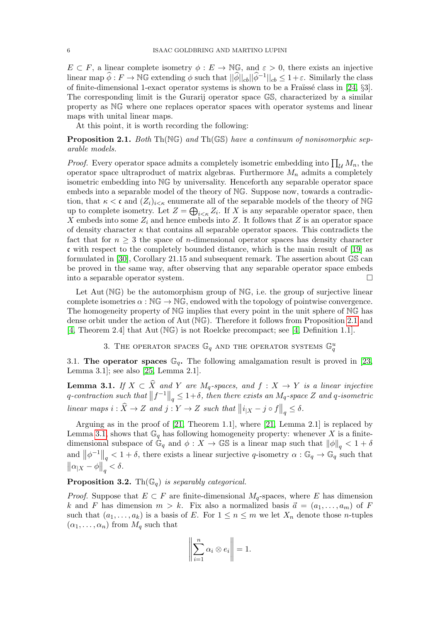$E \subset F$ , a linear complete isometry  $\phi : E \to \mathbb{N}\mathbb{G}$ , and  $\varepsilon > 0$ , there exists an injective linear map  $\widehat{\phi}: F \to \mathbb{N}\mathbb{G}$  extending  $\phi$  such that  $||\widehat{\phi}||_{cb}||\widehat{\phi}^{-1}||_{cb} \leq 1 + \varepsilon$ . Similarly the class of finite-dimensional 1-exact operator systems is shown to be a Fraïssé class in  $[24, §3]$ . The corresponding limit is the Gurarij operator space GS, characterized by a similar property as NG where one replaces operator spaces with operator systems and linear maps with unital linear maps.

At this point, it is worth recording the following:

### <span id="page-5-0"></span>**Proposition 2.1.** Both Th( $NG$ ) and Th( $GS$ ) have a continuum of nonisomorphic separable models.

*Proof.* Every operator space admits a completely isometric embedding into  $\prod_{\mathcal{U}} M_n$ , the operator space ultraproduct of matrix algebras. Furthermore  $M_n$  admits a completely isometric embedding into NG by universality. Henceforth any separable operator space embeds into a separable model of the theory of NG. Suppose now, towards a contradiction, that  $\kappa < \mathfrak{c}$  and  $(Z_i)_{i \leq \kappa}$  enumerate all of the separable models of the theory of NG up to complete isometry. Let  $Z = \bigoplus_{i \leq \kappa} Z_i$ . If X is any separable operator space, then X embeds into some  $Z_i$  and hence embeds into Z. It follows that Z is an operator space of density character  $\kappa$  that contains all separable operator spaces. This contradicts the fact that for  $n \geq 3$  the space of *n*-dimensional operator spaces has density character c with respect to the completely bounded distance, which is the main result of [\[19\]](#page-19-12) as formulated in [\[30\]](#page-19-8), Corollary 21.15 and subsequent remark. The assertion about GS can be proved in the same way, after observing that any separable operator space embeds into a separable operator system.

Let Aut  $(\mathbb{N}\mathbb{G})$  be the automorphism group of  $\mathbb{N}\mathbb{G}$ , i.e. the group of surjective linear complete isometries  $\alpha : \mathbb{NG} \to \mathbb{NG}$ , endowed with the topology of pointwise convergence. The homogeneity property of NG implies that every point in the unit sphere of NG has dense orbit under the action of Aut (NG). Therefore it follows from Proposition [2.1](#page-5-0) and [\[4,](#page-18-7) Theorem 2.4] that Aut (NG) is not Roelcke precompact; see [\[4,](#page-18-7) Definition 1.1].

# 3. THE OPERATOR SPACES  $\mathbb{G}_q$  and the operator systems  $\mathbb{G}_q^u$

<span id="page-5-3"></span>3.1. The operator spaces  $\mathbb{G}_q$ . The following amalgamation result is proved in [\[23,](#page-19-4) Lemma 3.1]; see also [\[25,](#page-19-13) Lemma 2.1].

<span id="page-5-1"></span>**Lemma 3.1.** If  $X \subset X$  and Y are  $M_q$ -spaces, and  $f : X \to Y$  is a linear injective q-contraction such that  $||f^{-1}||_q \leq 1+\delta$ , then there exists an  $M_q$ -space Z and q-isometric linear maps  $i : \widehat{X} \to Z$  and  $j : Y \to Z$  such that  $||i_{|X} - j \circ f||_q \leq \delta$ .

Arguing as in the proof of [\[21,](#page-19-2) Theorem 1.1], where [\[21,](#page-19-2) Lemma 2.1] is replaced by Lemma [3.1,](#page-5-1) shows that  $\mathbb{G}_q$  has following homogeneity property: whenever X is a finitedimensional subspace of  $\mathbb{G}_q$  and  $\phi: X \to \mathbb{GS}$  is a linear map such that  $\|\phi\|_q < 1 + \delta$ and  $\|\phi^{-1}\|_q < 1 + \delta$ , there exists a linear surjective q-isometry  $\alpha : \mathbb{G}_q \to \mathbb{G}_q$  such that  $\left\|\alpha_{|X} - \phi\right\|_q < \delta.$ 

#### <span id="page-5-2"></span>**Proposition 3.2.** Th $(\mathbb{G}_q)$  is separably categorical.

*Proof.* Suppose that  $E \subset F$  are finite-dimensional  $M_q$ -spaces, where E has dimension k and F has dimension  $m > k$ . Fix also a normalized basis  $\vec{a} = (a_1, \ldots, a_m)$  of F such that  $(a_1, \ldots, a_k)$  is a basis of E. For  $1 \leq n \leq m$  we let  $X_n$  denote those *n*-tuples  $(\alpha_1, \ldots, \alpha_n)$  from  $M_q$  such that

$$
\left\| \sum_{i=1}^n \alpha_i \otimes e_i \right\| = 1.
$$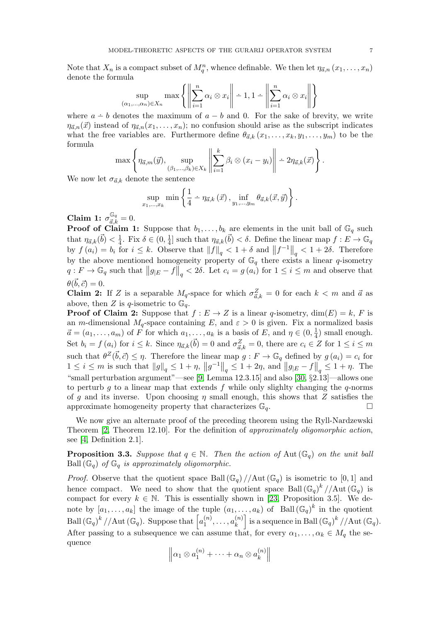Note that  $X_n$  is a compact subset of  $M_q^n$ , whence definable. We then let  $\eta_{\vec{a},n}(x_1,\ldots,x_n)$ denote the formula

$$
\sup_{1,\ldots,\alpha_n\in X_n} \max \left\{ \left\| \sum_{i=1}^n \alpha_i \otimes x_i \right\| - 1, 1 - \left\| \sum_{i=1}^n \alpha_i \otimes x_i \right\| \right\}
$$

where  $a - b$  denotes the maximum of  $a - b$  and 0. For the sake of brevity, we write  $\eta_{\vec{a},n}(\vec{x})$  instead of  $\eta_{\vec{a},n}(x_1,\ldots,x_n)$ ; no confusion should arise as the subscript indicates what the free variables are. Furthermore define  $\theta_{\vec{a},k} (x_1, \ldots, x_k, y_1, \ldots, y_m)$  to be the formula

$$
\max \left\{ \eta_{\vec{a},m}(\vec{y}), \sup_{(\beta_1,\ldots,\beta_k)\in X_k} \left\| \sum_{i=1}^k \beta_i \otimes (x_i - y_i) \right\| \div 2\eta_{\vec{a},k}(\vec{x}) \right\}.
$$

We now let  $\sigma_{\vec{a},k}$  denote the sentence

 $(\alpha$ 

$$
\sup_{x_1,\ldots,x_k} \min \left\{ \frac{1}{4} - \eta_{\vec{a},k}(\vec{x}), \inf_{y_1,\ldots,y_m} \theta_{\vec{a},k}(\vec{x},\vec{y}) \right\}.
$$

Claim 1:  $\sigma_{\vec{a},k}^{\mathbb{G}_q} = 0$ .

**Proof of Claim 1:** Suppose that  $b_1, \ldots, b_k$  are elements in the unit ball of  $\mathbb{G}_q$  such that  $\eta_{\vec{a},k}(\vec{b}) < \frac{1}{4}$  $\frac{1}{4}$ . Fix  $\delta \in (0, \frac{1}{4})$  $\frac{1}{4}$  such that  $\eta_{\vec{a},k}(\vec{b}) < \delta$ . Define the linear map  $f : E \to \mathbb{G}_q$ by  $f(a_i) = b_i$  for  $i \leq k$ . Observe that  $||f||_q < 1 + \delta$  and  $||f^{-1}||_q < 1 + 2\delta$ . Therefore by the above mentioned homogeneity property of  $\mathbb{G}_q$  there exists a linear q-isometry  $q: F \to \mathbb{G}_q$  such that  $||g_{|E} - f||_q < 2\delta$ . Let  $c_i = g(a_i)$  for  $1 \leq i \leq m$  and observe that  $\theta(\vec{b}, \vec{c}) = 0.$ 

**Claim 2:** If Z is a separable  $M_q$ -space for which  $\sigma_{\vec{a},k}^Z = 0$  for each  $k < m$  and  $\vec{a}$  as above, then Z is q-isometric to  $\mathbb{G}_q$ .

**Proof of Claim 2:** Suppose that  $f : E \to Z$  is a linear q-isometry,  $dim(E) = k$ , F is an m-dimensional  $M_q$ -space containing E, and  $\varepsilon > 0$  is given. Fix a normalized basis  $\vec{a} = (a_1, \ldots, a_m)$  of F for which  $a_1, \ldots, a_k$  is a basis of E, and  $\eta \in (0, \frac{1}{4})$  $(\frac{1}{4})$  small enough. Set  $b_i = f(a_i)$  for  $i \leq k$ . Since  $\eta_{\vec{a},k}(\vec{b}) = 0$  and  $\sigma_{\vec{a},k}^Z = 0$ , there are  $c_i \in Z$  for  $1 \leq i \leq m$ such that  $\theta^Z(\vec{b}, \vec{c}) \leq \eta$ . Therefore the linear map  $g : F \to \mathbb{G}_q$  defined by  $g(a_i) = c_i$  for  $1 \leq i \leq m$  is such that  $||g||_q \leq 1 + \eta$ ,  $||g^{-1}||_q \leq 1 + 2\eta$ , and  $||g_{|E} - f||_q \leq 1 + \eta$ . The "small perturbation argument"—see [\[9,](#page-18-8) Lemma 12.3.15] and also [\[30,](#page-19-8) §2.13]—allows one to perturb g to a linear map that extends f while only slighly changing the  $q$ -norms of g and its inverse. Upon choosing  $\eta$  small enough, this shows that Z satisfies the approximate homogeneity property that characterizes  $\mathbb{G}_q$ .

We now give an alternate proof of the preceding theorem using the Ryll-Nardzewski Theorem [\[2,](#page-18-9) Theorem 12.10]. For the definition of approximately oligomorphic action, see [\[4,](#page-18-7) Definition 2.1].

<span id="page-6-0"></span>**Proposition 3.3.** Suppose that  $q \in \mathbb{N}$ . Then the action of Aut  $(\mathbb{G}_q)$  on the unit ball Ball  $(\mathbb{G}_q)$  of  $\mathbb{G}_q$  is approximately oligomorphic.

*Proof.* Observe that the quotient space Ball  $(\mathbb{G}_q)/\Lambda$ ut  $(\mathbb{G}_q)$  is isometric to [0, 1] and hence compact. We need to show that the quotient space Ball  $(\mathbb{G}_q)^k$  //Aut $(\mathbb{G}_q)$  is compact for every  $k \in \mathbb{N}$ . This is essentially shown in [\[23,](#page-19-4) Proposition 3.5]. We denote by  $[a_1,\ldots,a_k]$  the image of the tuple  $(a_1,\ldots,a_k)$  of Ball  $(\mathbb{G}_q)^k$  in the quotient Ball  $(\mathbb{G}_q)^k$  //Aut  $(\mathbb{G}_q)$ . Suppose that  $\left[a_1^{(n)}\right]$  $a_1^{(n)}, \ldots, a_k^{(n)}$  $\begin{bmatrix} (n) \\ k \end{bmatrix}$  is a sequence in Ball  $(\mathbb{G}_q)^k$  //Aut  $(\mathbb{G}_q)$ . After passing to a subsequence we can assume that, for every  $\alpha_1, \ldots, \alpha_k \in M_q$  the sequence

$$
\left\|\alpha_1\otimes a_1^{(n)} + \cdots + \alpha_n\otimes a_k^{(n)}\right\|
$$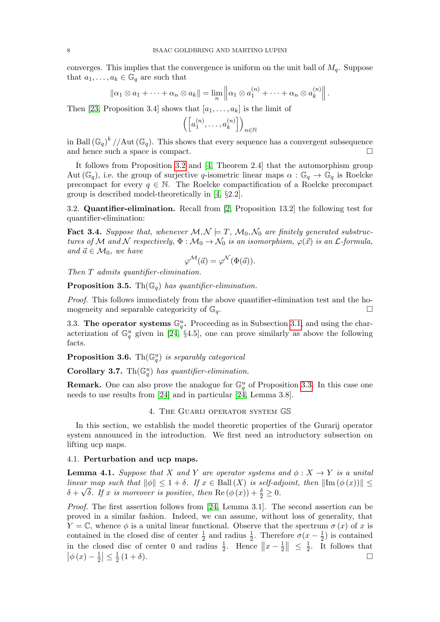converges. This implies that the convergence is uniform on the unit ball of  $M_q$ . Suppose that  $a_1, \ldots, a_k \in \mathbb{G}_q$  are such that

$$
\|\alpha_1\otimes a_1+\cdots+\alpha_n\otimes a_k\|=\lim_n\left\|\alpha_1\otimes a_1^{(n)}+\cdots+\alpha_n\otimes a_k^{(n)}\right\|.
$$

Then [\[23,](#page-19-4) Proposition 3.4] shows that  $[a_1, \ldots, a_k]$  is the limit of

$$
\left(\left[a_1^{(n)},\ldots,a_k^{(n)}\right]\right)_{n\in\mathbb{N}}
$$

in Ball  $(\mathbb{G}_q)^k$  //Aut  $(\mathbb{G}_q)$ . This shows that every sequence has a convergent subsequence and hence such a space is compact.

It follows from Proposition [3.2](#page-5-2) and [\[4,](#page-18-7) Theorem 2.4] that the automorphism group Aut ( $\mathbb{G}_q$ ), i.e. the group of surjective q-isometric linear maps  $\alpha : \mathbb{G}_q \to \mathbb{G}_q$  is Roelcke precompact for every  $q \in \mathbb{N}$ . The Roelcke compactification of a Roelcke precompact group is described model-theoretically in [\[4,](#page-18-7) §2.2].

3.2. Quantifier-elimination. Recall from [\[2,](#page-18-9) Proposition 13.2] the following test for quantifier-elimination:

**Fact 3.4.** Suppose that, whenever  $\mathcal{M}, \mathcal{N} \models T, \mathcal{M}_0, \mathcal{N}_0$  are finitely generated substructures of M and N respectively,  $\Phi : \mathcal{M}_0 \to \mathcal{N}_0$  is an isomorphism,  $\varphi(\vec{x})$  is an  $\mathcal{L}$ -formula, and  $\vec{a} \in \mathcal{M}_0$ , we have

$$
\varphi^{\mathcal{M}}(\vec{a}) = \varphi^{\mathcal{N}}(\Phi(\vec{a})).
$$

Then T admits quantifier-elimination.

**Proposition 3.5.** Th $(\mathbb{G}_q)$  has quantifier-elimination.

Proof. This follows immediately from the above quantifier-elimination test and the homogeneity and separable categoricity of  $\mathbb{G}_q$ .

3.3. The operator systems  $\mathbb{G}_q^u$ . Proceeding as in Subsection [3.1,](#page-5-3) and using the characterization of  $\mathbb{G}_q^u$  given in [\[24,](#page-19-5) §4.5], one can prove similarly as above the following facts.

**Proposition 3.6.** Th $(\mathbb{G}_q^u)$  is separably categorical

Corollary 3.7.  $\text{Th}(\mathbb{G}_q^u)$  has quantifier-elimination.

**Remark.** One can also prove the analogue for  $\mathbb{G}_q^u$  of Proposition [3.3.](#page-6-0) In this case one needs to use results from [\[24\]](#page-19-5) and in particular [\[24,](#page-19-5) Lemma 3.8].

#### 4. The Guarij operator system GS

In this section, we establish the model theoretic properties of the Gurarij operator system announced in the introduction. We first need an introductory subsection on lifting ucp maps.

#### 4.1. Perturbation and ucp maps.

<span id="page-7-0"></span>**Lemma 4.1.** Suppose that X and Y are operator systems and  $\phi: X \to Y$  is a unital linear map such that  $\|\phi\| \leq 1 + \delta$ . If  $x \in \text{Ball}(X)$  is self-adjoint, then  $\|\text{Im}(\phi(x))\| \leq$  $\delta + \sqrt{\delta}$ . If x is moreover is positive, then Re  $(\phi(x)) + \frac{\delta}{2} \geq 0$ .

Proof. The first assertion follows from [\[24,](#page-19-5) Lemma 3.1]. The second assertion can be proved in a similar fashion. Indeed, we can assume, without loss of generality, that  $Y = \mathbb{C}$ , whence  $\phi$  is a unital linear functional. Observe that the spectrum  $\sigma(x)$  of x is contained in the closed disc of center  $\frac{1}{2}$  and radius  $\frac{1}{2}$ . Therefore  $\sigma(x-\frac{1}{2})$  $(\frac{1}{2})$  is contained in the closed disc of center 0 and radius  $\frac{1}{2}$ . Hence  $||x-\frac{1}{2}||$  $\frac{1}{2}$   $\leq \frac{1}{2}$  $\frac{1}{2}$ . It follows that  $\left|\phi\left(x\right)-\frac{1}{2}\right|$  $\frac{1}{2}$  |  $\leq \frac{1}{2}$  $\overline{2}$  $(1+\delta).$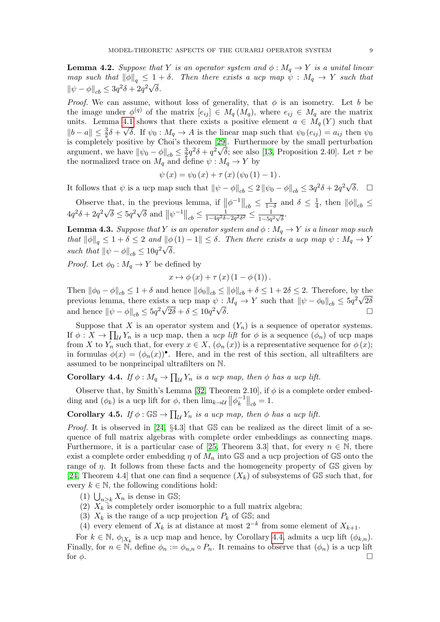<span id="page-8-1"></span>**Lemma 4.2.** Suppose that Y is an operator system and  $\phi : M_q \to Y$  is a unital linear map such that  $\|\phi\|_q \leq 1 + \delta$ . Then there exists a ucp map  $\psi : M_q \to Y$  such that  $\|\psi - \phi\|_{cb} \leq 3q^2\delta + 2q^2\sqrt{\delta}.$ 

*Proof.* We can assume, without loss of generality, that  $\phi$  is an isometry. Let b be the image under  $\phi^{(q)}$  of the matrix  $[e_{ij}] \in M_q(M_q)$ , where  $e_{ij} \in M_q$  are the matrix units. Lemma [4.1](#page-7-0) shows that there exists a positive element  $a \in M_q(Y)$  such that  $||b-a|| \leq \frac{3}{2}\delta + \sqrt{\delta}$ . If  $\psi_0 : M_q \to A$  is the linear map such that  $\psi_0 (e_{ij}) = a_{ij}$  then  $\psi_0$ is completely positive by Choi's theorem [\[29\]](#page-19-6). Furthermore by the small perturbation argument, we have  $\|\psi_0 - \phi\|_{cb} \leq \frac{3}{2}$  $\frac{3}{2}q^2\delta + q^2\sqrt{\delta}$ ; see also [\[13,](#page-19-9) Proposition 2.40]. Let  $\tau$  be the normalized trace on  $M_q$  and define  $\psi : M_q \to Y$  by

$$
\psi(x) = \psi_0(x) + \tau(x) (\psi_0(1) - 1).
$$

It follows that  $\psi$  is a ucp map such that  $\|\psi - \phi\|_{cb} \leq 2 \|\psi_0 - \phi\|_{cb} \leq 3q^2\delta + 2q^2\sqrt{\delta}$ .  $\square$ 

Observe that, in the previous lemma, if  $\|\phi^{-1}\|_{cb} \leq \frac{1}{1-\delta}$  and  $\delta \leq \frac{1}{4}$ that, in the previous lemma, if  $\|\phi^{-1}\|_{cb} \leq \frac{1}{1-\delta}$  and  $\delta \leq \frac{1}{4}$ , then  $\|\phi\|_{cb} \leq$  $4q^2\delta + 2q^2\sqrt{\delta} \le 5q^2\sqrt{\delta}$  and  $||\psi^{-1}||_{cb} \le \frac{1}{1-4q^2\delta}$ .  $\frac{1}{1-4q^2\delta-2q^2\delta^2}$  ≤  $\frac{1}{1-5q}$  $\frac{1}{1-5q^2\sqrt{\delta}}$ .

<span id="page-8-3"></span>**Lemma 4.3.** Suppose that Y is an operator system and  $\phi : M_q \to Y$  is a linear map such that  $\|\phi\|_q \leq 1 + \delta \leq 2$  and  $\|\phi(1) - 1\| \leq \delta$ . Then there exists a ucp map  $\psi : M_q \to Y$ such that  $\|\psi - \phi\|_{cb} \leq 10q^2\sqrt{\delta}$ .

*Proof.* Let  $\phi_0 : M_q \to Y$  be defined by

$$
x \mapsto \phi(x) + \tau(x) (1 - \phi(1)).
$$

Then  $\|\phi_0 - \phi\|_{cb} \leq 1 + \delta$  and hence  $\|\phi_0\|_{cb} \leq \|\phi\|_{cb} + \delta \leq 1 + 2\delta \leq 2$ . Therefore, by the previous lemma, there exists a ucp map  $\psi : M_q \to Y$  such that  $\|\psi - \phi_0\|_{cb} \leq 5q^2\sqrt{2\delta}$ and hence  $\|\psi - \phi\|_{cb} \leq 5q^2\sqrt{2\delta} + \delta \leq 10q^2$  $\overline{\delta}$ .

Suppose that X is an operator system and  $(Y_n)$  is a sequence of operator systems. If  $\phi: X \to \prod_{\mathcal{U}} Y_n$  is a ucp map, then a ucp lift for  $\phi$  is a sequence  $(\phi_n)$  of ucp maps from X to  $Y_n$  such that, for every  $x \in X$ ,  $(\phi_n(x))$  is a representative sequence for  $\phi(x)$ ; in formulas  $\phi(x) = (\phi_n(x))$ . Here, and in the rest of this section, all ultrafilters are assumed to be nonprincipal ultrafilters on N.

# <span id="page-8-0"></span>**Corollary 4.4.** If  $\phi: M_q \to \prod_{\mathcal{U}} Y_n$  is a ucp map, then  $\phi$  has a ucp lift.

Observe that, by Smith's Lemma [\[32,](#page-19-14) Theorem 2.10], if  $\phi$  is a complete order embedding and  $(\phi_k)$  is a ucp lift for  $\phi$ , then  $\lim_{k \to \infty} ||\phi_k^{-1}||$  $\left.\frac{1}{k}\right|_{cb}=1.$ 

<span id="page-8-2"></span>**Corollary 4.5.** If  $\phi : \mathbb{GS} \to \prod_{\mathcal{U}} Y_n$  is a ucp map, then  $\phi$  has a ucp lift.

*Proof.* It is observed in [\[24,](#page-19-5)  $\S 4.3$ ] that GS can be realized as the direct limit of a sequence of full matrix algebras with complete order embeddings as connecting maps. Furthermore, it is a particular case of [\[25,](#page-19-13) Theorem 3.3] that, for every  $n \in \mathbb{N}$ , there exist a complete order embedding  $\eta$  of  $M_n$  into GS and a ucp projection of GS onto the range of  $\eta$ . It follows from these facts and the homogeneity property of  $\mathbb{GS}$  given by [\[24,](#page-19-5) Theorem 4.4] that one can find a sequence  $(X_k)$  of subsystems of GS such that, for every  $k \in \mathbb{N}$ , the following conditions hold:

- (1)  $\bigcup_{n\geq k} X_n$  is dense in GS;
- (2)  $X_k$  is completely order isomorphic to a full matrix algebra;
- (3)  $X_k$  is the range of a ucp projection  $P_k$  of  $\mathbb{GS}$ ; and
- (4) every element of  $X_k$  is at distance at most  $2^{-k}$  from some element of  $X_{k+1}$ .

For  $k \in \mathbb{N}$ ,  $\phi_{|X_k}$  is a ucp map and hence, by Corollary [4.4,](#page-8-0) admits a ucp lift  $(\phi_{k,n})$ . Finally, for  $n \in \mathbb{N}$ , define  $\phi_n := \phi_{n,n} \circ P_n$ . It remains to observe that  $(\phi_n)$  is a ucp lift for  $\phi$ .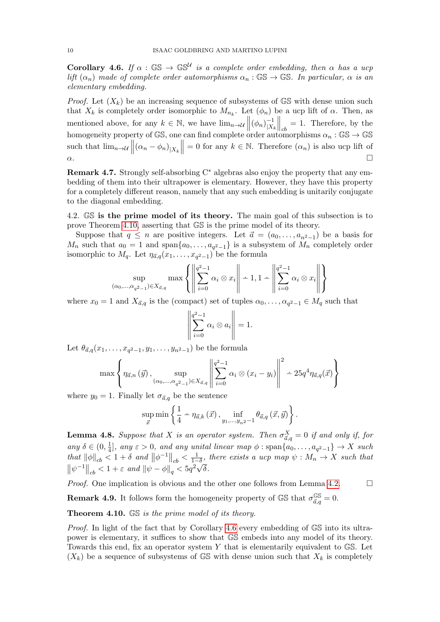<span id="page-9-1"></span>**Corollary 4.6.** If  $\alpha$  :  $\mathbb{GS} \to \mathbb{GS}^{\mathcal{U}}$  is a complete order embedding, then  $\alpha$  has a ucp lift  $(\alpha_n)$  made of complete order automorphisms  $\alpha_n : \mathbb{GS} \to \mathbb{GS}$ . In particular,  $\alpha$  is an elementary embedding.

*Proof.* Let  $(X_k)$  be an increasing sequence of subsystems of GS with dense union such that  $X_k$  is completely order isomorphic to  $M_{n_k}$ . Let  $(\phi_n)$  be a ucp lift of  $\alpha$ . Then, as mentioned above, for any  $k \in \mathbb{N}$ , we have  $\lim_{n \to \mathcal{U}} ||(\phi_n)|_{X_n}^{-1}$  $|X_k$  $\Big\|_{cb} = 1.$  Therefore, by the homogeneity property of GS, one can find complete order automorphisms  $\alpha_n : \mathbb{GS} \to \mathbb{GS}$ such that  $\lim_{n\to\mathcal{U}}\left\|(\alpha_n-\phi_n)_{|X_k}\right\|$ such that  $\lim_{n\to\infty} \|( \alpha_n - \phi_n)_{|X_k} \| = 0$  for any  $k \in \mathbb{N}$ . Therefore  $(\alpha_n)$  is also ucp lift of  $\alpha$ .

**Remark 4.7.** Strongly self-absorbing  $C^*$  algebras also enjoy the property that any embedding of them into their ultrapower is elementary. However, they have this property for a completely different reason, namely that any such embedding is unitarily conjugate to the diagonal embedding.

4.2. GS is the prime model of its theory. The main goal of this subsection is to prove Theorem [4.10,](#page-9-0) asserting that GS is the prime model of its theory.

Suppose that  $q \leq n$  are positive integers. Let  $\vec{a} = (a_0, \ldots, a_{n^2-1})$  be a basis for  $M_n$  such that  $a_0 = 1$  and span $\{a_0, \ldots, a_{q^2-1}\}\$ is a subsystem of  $M_n$  completely order isomorphic to  $M_q$ . Let  $\eta_{\vec{a},q}(x_1,\ldots,x_{q^2-1})$  be the formula

$$
\sup_{(\alpha_0,\dots,\alpha_{q^2-1})\in X_{\vec{a},q}} \max\left\{ \left\| \sum_{i=0}^{q^2-1} \alpha_i \otimes x_i \right\| \div 1, 1-\left\| \sum_{i=0}^{q^2-1} \alpha_i \otimes x_i \right\| \right\}
$$

where  $x_0 = 1$  and  $X_{\vec{a},q}$  is the (compact) set of tuples  $\alpha_0, \ldots, \alpha_{q^2-1} \in M_q$  such that

$$
\left\| \sum_{i=0}^{q^2-1} \alpha_i \otimes a_i \right\| = 1.
$$

Let  $\theta_{\vec{a},q}(x_1,\ldots,x_{q^2-1},y_1,\ldots,y_{n^2-1})$  be the formula

$$
\max \left\{ \eta_{\vec{a},n}(\vec{y}), \sup_{(\alpha_0,\dots,\alpha_{q^2-1}) \in X_{\vec{a},q}} \left\| \sum_{i=0}^{q^2-1} \alpha_i \otimes (x_i - y_i) \right\|^2 - 25q^4 \eta_{\vec{a},q}(\vec{x}) \right\}
$$

where  $y_0 = 1$ . Finally let  $\sigma_{\vec{a},q}$  be the sentence

$$
\sup_{\vec{x}} \min \left\{ \frac{1}{4} - \eta_{\vec{a},k}(\vec{x}), \inf_{y_1, \dots, y_n^2 - 1} \theta_{\vec{a},q}(\vec{x}, \vec{y}) \right\}.
$$

**Lemma 4.8.** Suppose that X is an operator system. Then  $\sigma_{\vec{a},q}^X = 0$  if and only if, for any  $\delta \in (0, \frac{1}{4})$  $\frac{1}{4}$ , any  $\varepsilon > 0$ , and any unital linear map  $\phi : \text{span}\{a_0, \ldots, a_{q^2-1}\} \to X$  such that  $||\phi||_{cb} < 1 + \delta$  and  $||\phi^{-1}||_{cb} < \frac{1}{1-\delta}$ , there exists a ucp map  $\psi : M_n \to X$  such that  $\|\psi\|_{cb} < 1 + \varepsilon$  and  $\|\psi\|_{cb} < 1 + \varepsilon$ <br> $\|\psi^{-1}\|_{cb} < 1 + \varepsilon$  and  $\|\psi - \phi\|_{q} < 5q^{2}\sqrt{q^{2}+q^{2}}$ δ.

*Proof.* One implication is obvious and the other one follows from Lemma [4.2.](#page-8-1)  $\Box$ 

**Remark 4.9.** It follows form the homogeneity property of  $\mathbb{GS}$  that  $\sigma_{\vec{a},q}^{\mathbb{GS}} = 0$ .

<span id="page-9-0"></span>Theorem 4.10. GS is the prime model of its theory.

Proof. In light of the fact that by Corollary [4.6](#page-9-1) every embedding of  $\mathbb{GS}$  into its ultrapower is elementary, it suffices to show that GS embeds into any model of its theory. Towards this end, fix an operator system Y that is elementarily equivalent to  $\mathbb{GS}$ . Let  $(X_k)$  be a sequence of subsystems of GS with dense union such that  $X_k$  is completely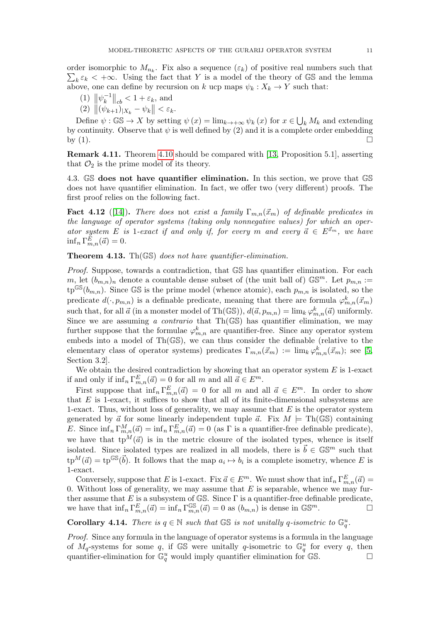order isomorphic to  $M_{n_k}$ . Fix also a sequence  $(\varepsilon_k)$  of positive real numbers such that  $\sum_k \varepsilon_k < +\infty$ . Using the fact that Y is a model of the theory of GS and the lemma order isomorphic to  $M_{n_k}$ . Fix also a sequence  $(\varepsilon_k)$  of positive real numbers such that above, one can define by recursion on k ucp maps  $\psi_k : X_k \to Y$  such that:

(1) 
$$
\|\psi_k^{-1}\|_{cb} < 1 + \varepsilon_k
$$
, and  
(2)  $\|(\psi_{k+1})_{X} - \psi_k\| < \varepsilon_k$ 

$$
(2) \|\psi_{k+1}\|_{X_k} - \psi_k\| < \varepsilon_k.
$$

Define  $\psi : \mathbb{GS} \to X$  by setting  $\psi(x) = \lim_{k \to +\infty} \psi_k(x)$  for  $x \in \bigcup_k M_k$  and extending by continuity. Observe that  $\psi$  is well defined by (2) and it is a complete order embedding by  $(1)$ .

Remark 4.11. Theorem [4.10](#page-9-0) should be compared with [\[13,](#page-19-9) Proposition 5.1], asserting that  $\mathcal{O}_2$  is the prime model of its theory.

4.3. GS does not have quantifier elimination. In this section, we prove that GS does not have quantifier elimination. In fact, we offer two (very different) proofs. The first proof relies on the following fact.

**Fact 4.12** ([\[14\]](#page-19-15)). There does not exist a family  $\Gamma_{m,n}(\vec{x}_m)$  of definable predicates in the language of operator systems (taking only nonnegative values) for which an operator system E is 1-exact if and only if, for every m and every  $\vec{a} \in E^{\vec{x}_m}$ , we have  $\inf_n \Gamma_{m,n}^E(\vec{a}) = 0.$ 

<span id="page-10-0"></span>**Theorem 4.13.** Th $(\mathbb{GS})$  does not have quantifier-elimination.

Proof. Suppose, towards a contradiction, that GS has quantifier elimination. For each m, let  $(b_{m,n})_n$  denote a countable dense subset of (the unit ball of)  $\mathbb{G}S^m$ . Let  $p_{m,n}$ :=  $tp^{\mathbb{GS}}(b_{m,n})$ . Since GS is the prime model (whence atomic), each  $p_{m,n}$  is isolated, so the predicate  $d(·, p_{m,n})$  is a definable predicate, meaning that there are formula  $\varphi_{m,n}^k(\vec{x}_m)$ such that, for all  $\vec{a}$  (in a monster model of Th(GS)),  $d(\vec{a}, p_{m,n}) = \lim_{k} \varphi_{m,n}^{k}(\vec{a})$  uniformly. Since we are assuming a *contrario* that  $Th(\mathbb{GS})$  has quantifier elimination, we may further suppose that the formulae  $\varphi_{m,n}^k$  are quantifier-free. Since any operator system embeds into a model of Th(GS), we can thus consider the definable (relative to the elementary class of operator systems) predicates  $\Gamma_{m,n}(\vec{x}_m) := \lim_k \varphi^k_{m,n}(\vec{x}_m)$ ; see [\[5,](#page-18-10) Section 3.2].

We obtain the desired contradiction by showing that an operator system  $E$  is 1-exact if and only if  $\inf_n \Gamma_{m,n}^E(\vec{a}) = 0$  for all  $m$  and all  $\vec{a} \in E^m$ .

First suppose that  $\inf_n \Gamma_{m,n}^E(\vec{a}) = 0$  for all m and all  $\vec{a} \in E^m$ . In order to show that  $E$  is 1-exact, it suffices to show that all of its finite-dimensional subsystems are 1-exact. Thus, without loss of generality, we may assume that  $E$  is the operator system generated by  $\vec{a}$  for some linearly independent tuple  $\vec{a}$ . Fix  $M \models Th(\mathbb{GS})$  containing E. Since  $\inf_n \Gamma_{m,n}^M(\vec{a}) = \inf_n \Gamma_{m,n}^E(\vec{a}) = 0$  (as  $\Gamma$  is a quantifier-free definable predicate), we have that  $tp^M(\vec{a})$  is in the metric closure of the isolated types, whence is itself isolated. Since isolated types are realized in all models, there is  $\vec{b} \in \mathbb{GS}^m$  such that  $\text{tp}^M(\vec{a}) = \text{tp}^{\mathbb{GS}}(\vec{b})$ . It follows that the map  $a_i \mapsto b_i$  is a complete isometry, whence E is 1-exact.

Conversely, suppose that E is 1-exact. Fix  $\vec{a} \in E^m$ . We must show that  $\inf_n \Gamma_{m,n}^E(\vec{a}) =$ 0. Without loss of generality, we may assume that  $E$  is separable, whence we may further assume that E is a subsystem of  $\mathbb{GS}$ . Since  $\Gamma$  is a quantifier-free definable predicate, we have that  $\inf_n \Gamma_{m,n}^E(\vec{a}) = \inf_n \Gamma_{m,n}^{\mathbb{GS}}(\vec{a}) = 0$  as  $(b_{m,n})$  is dense in  $\mathbb{GS}^m$ .

**Corollary 4.14.** There is  $q \in \mathbb{N}$  such that  $\mathbb{GS}$  is not unitally q-isometric to  $\mathbb{G}_q^u$ .

Proof. Since any formula in the language of operator systems is a formula in the language of  $M_q$ -systems for some q, if GS were unitally q-isometric to  $\mathbb{G}_q^u$  for every q, then quantifier-elimination for  $\mathbb{G}_q^u$  would imply quantifier elimination for  $\mathbb{G}_s^s$ .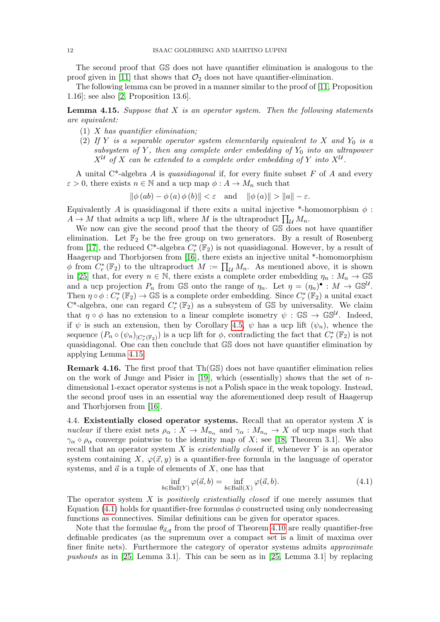The second proof that GS does not have quantifier elimination is analogous to the proof given in [\[11\]](#page-18-11) that shows that  $\mathcal{O}_2$  does not have quantifier-elimination.

The following lemma can be proved in a manner similar to the proof of [\[11,](#page-18-11) Proposition 1.16]; see also [\[2,](#page-18-9) Proposition 13.6].

<span id="page-11-0"></span>**Lemma 4.15.** Suppose that  $X$  is an operator system. Then the following statements are equivalent:

- (1)  $X$  has quantifier elimination;
- (2) If Y is a separable operator system elementarily equivalent to X and  $Y_0$  is a subsystem of Y, then any complete order embedding of  $Y_0$  into an ultrapower  $X^{\mathcal{U}}$  of X can be extended to a complete order embedding of Y into  $X^{\mathcal{U}}$ .

A unital C<sup>\*</sup>-algebra A is quasidiagonal if, for every finite subset F of A and every  $\varepsilon > 0$ , there exists  $n \in \mathbb{N}$  and a ucp map  $\phi : A \to M_n$  such that

$$
\|\phi(ab) - \phi(a)\phi(b)\| < \varepsilon \quad \text{and} \quad \|\phi(a)\| > \|a\| - \varepsilon.
$$

Equivalently A is quasidiagonal if there exits a unital injective \*-homomorphism  $\phi$ :  $A \to M$  that admits a ucp lift, where M is the ultraproduct  $\prod_{\mathcal{U}} M_n$ .

We now can give the second proof that the theory of GS does not have quantifier elimination. Let  $\mathbb{F}_2$  be the free group on two generators. By a result of Rosenberg from [\[17\]](#page-19-16), the reduced C<sup>\*</sup>-algebra  $C_r^*$  ( $\mathbb{F}_2$ ) is not quasidiagonal. However, by a result of Haagerup and Thorbjorsen from [\[16\]](#page-19-17), there exists an injective unital \*-homomorphism  $\phi$  from  $C_r^*(\mathbb{F}_2)$  to the ultraproduct  $M := \prod_{\mathcal{U}} M_n$ . As mentioned above, it is shown in [\[25\]](#page-19-13) that, for every  $n \in \mathbb{N}$ , there exists a complete order embedding  $\eta_n : M_n \to \mathbb{GS}$ and a ucp projection  $P_n$  from GS onto the range of  $\eta_n$ . Let  $\eta = (\eta_n)^{\bullet}: M \to \mathbb{GS}^{\mathcal{U}}$ . Then  $\eta \circ \phi : C^*_r(\mathbb{F}_2) \to \mathbb{G} \mathbb{S}$  is a complete order embedding. Since  $C^*_r(\mathbb{F}_2)$  a unital exact C<sup>\*</sup>-algebra, one can regard  $C_r^*(\mathbb{F}_2)$  as a subsystem of GS by universality. We claim that  $\eta \circ \phi$  has no extension to a linear complete isometry  $\psi : \mathbb{GS} \to \mathbb{GS}^{\mathcal{U}}$ . Indeed, if  $\psi$  is such an extension, then by Corollary [4.5,](#page-8-2)  $\psi$  has a ucp lift  $(\psi_n)$ , whence the sequence  $(P_n \circ (\psi_n)_{|C^*_r(\mathbb{F}_2)})$  is a ucp lift for  $\phi$ , contradicting the fact that  $C^*_r(\mathbb{F}_2)$  is not quasidiagonal. One can then conclude that GS does not have quantifier elimination by applying Lemma [4.15.](#page-11-0)

**Remark 4.16.** The first proof that  $Th(\mathbb{GS})$  does not have quantifier elimination relies on the work of Junge and Pisier in [\[19\]](#page-19-12), which (essentially) shows that the set of  $n$ dimensional 1-exact operator systems is not a Polish space in the weak topology. Instead, the second proof uses in an essential way the aforementioned deep result of Haagerup and Thorbjorsen from [\[16\]](#page-19-17).

4.4. Existentially closed operator systems. Recall that an operator system X is nuclear if there exist nets  $\rho_{\alpha}: X \to M_{n_{\alpha}}$  and  $\gamma_{\alpha}: M_{n_{\alpha}} \to X$  of ucp maps such that  $\gamma_{\alpha} \circ \rho_{\alpha}$  converge pointwise to the identity map of X; see [\[18,](#page-19-18) Theorem 3.1]. We also recall that an operator system X is *existentially closed* if, whenever Y is an operator system containing X,  $\varphi(\vec{x}, y)$  is a quantifier-free formula in the language of operator systems, and  $\vec{a}$  is a tuple of elements of X, one has that

<span id="page-11-1"></span>
$$
\inf_{b \in \text{Ball}(Y)} \varphi(\vec{a}, b) = \inf_{b \in \text{Ball}(X)} \varphi(\vec{a}, b). \tag{4.1}
$$

The operator system  $X$  is *positively existentially closed* if one merely assumes that Equation [\(4.1\)](#page-11-1) holds for quantifier-free formulas  $\phi$  constructed using only nondecreasing functions as connectives. Similar definitions can be given for operator spaces.

Note that the formulae  $\theta_{\vec{a},q}$  from the proof of Theorem [4.10](#page-9-0) are really quantifier-free definable predicates (as the supremum over a compact set is a limit of maxima over finer finite nets). Furthermore the category of operator systems admits approximate pushouts as in [\[25,](#page-19-13) Lemma 3.1]. This can be seen as in [\[25,](#page-19-13) Lemma 3.1] by replacing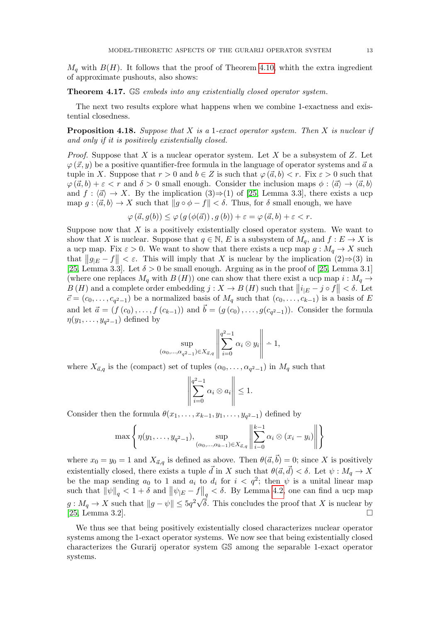$M_q$  with  $B(H)$ . It follows that the proof of Theorem [4.10,](#page-9-0) whith the extra ingredient of approximate pushouts, also shows:

Theorem 4.17. GS embeds into any existentially closed operator system.

The next two results explore what happens when we combine 1-exactness and existential closedness.

<span id="page-12-0"></span>**Proposition 4.18.** Suppose that  $X$  is a 1-exact operator system. Then  $X$  is nuclear if and only if it is positively existentially closed.

*Proof.* Suppose that X is a nuclear operator system. Let X be a subsystem of Z. Let  $\varphi(\vec{x}, y)$  be a positive quantifier-free formula in the language of operator systems and  $\vec{a}$  a tuple in X. Suppose that  $r > 0$  and  $b \in Z$  is such that  $\varphi(\vec{a}, b) < r$ . Fix  $\varepsilon > 0$  such that  $\varphi(\vec{a}, b) + \varepsilon < r$  and  $\delta > 0$  small enough. Consider the inclusion maps  $\phi : \langle \vec{a} \rangle \rightarrow \langle \vec{a}, b \rangle$ and  $f : \langle \vec{a} \rangle \rightarrow X$ . By the implication  $(3) \Rightarrow (1)$  of [\[25,](#page-19-13) Lemma 3.3], there exists a ucp map  $g : \langle \vec{a}, b \rangle \to X$  such that  $||g \circ \phi - f|| < \delta$ . Thus, for  $\delta$  small enough, we have

$$
\varphi(\vec{a}, g(b)) \le \varphi(g(\phi(\vec{a})), g(b)) + \varepsilon = \varphi(\vec{a}, b) + \varepsilon < r.
$$

Suppose now that  $X$  is a positively existentially closed operator system. We want to show that X is nuclear. Suppose that  $q \in \mathbb{N}$ , E is a subsystem of  $M_q$ , and  $f : E \to X$  is a ucp map. Fix  $\varepsilon > 0$ . We want to show that there exists a ucp map  $g : M_q \to X$  such that  $||g_E - f|| < \varepsilon$ . This will imply that X is nuclear by the implication  $(2) \Rightarrow (3)$  in [\[25,](#page-19-13) Lemma 3.3]. Let  $\delta > 0$  be small enough. Arguing as in the proof of [\[25,](#page-19-13) Lemma 3.1] (where one replaces  $M_q$  with  $B(H)$ ) one can show that there exist a ucp map  $i : M_q \to$  $B(H)$  and a complete order embedding  $j: X \to B(H)$  such that  $||i_{|E} - j \circ f|| < \delta$ . Let  $\vec{c} = (c_0, \ldots, c_{q^2-1})$  be a normalized basis of  $M_q$  such that  $(c_0, \ldots, c_{k-1})$  is a basis of E and let  $\vec{a} = (f(c_0), \ldots, f(c_{k-1}))$  and  $\vec{b} = (g(c_0), \ldots, g(c_{q^2-1}))$ . Consider the formula  $\eta(y_1,\ldots,y_{q^2-1})$  defined by

$$
\sup_{(\alpha_0,\dots,\alpha_{q^2-1})\in X_{\vec{\alpha},q}}\left\|\sum_{i=0}^{q^2-1}\alpha_i\otimes y_i\right\| \doteq 1,
$$

where  $X_{\vec{a},q}$  is the (compact) set of tuples  $(\alpha_0, \ldots, \alpha_{q^2-1})$  in  $M_q$  such that

$$
\left\| \sum_{i=0}^{q^2-1} \alpha_i \otimes a_i \right\| \le 1.
$$

Consider then the formula  $\theta(x_1, \ldots, x_{k-1}, y_1, \ldots, y_{q^2-1})$  defined by

$$
\max \left\{ \eta(y_1, \ldots, y_{q^2-1}), \sup_{(\alpha_0, \ldots, \alpha_{k-1}) \in X_{\vec{a},q}} \left\| \sum_{i=0}^{k-1} \alpha_i \otimes (x_i - y_i) \right\| \right\}
$$

where  $x_0 = y_0 = 1$  and  $X_{\vec{a},q}$  is defined as above. Then  $\theta(\vec{a}, \vec{b}) = 0$ ; since X is positively existentially closed, there exists a tuple  $\vec{d}$  in X such that  $\theta(\vec{a}, \vec{d}) < \delta$ . Let  $\psi : M_q \to X$ be the map sending  $a_0$  to 1 and  $a_i$  to  $d_i$  for  $i < q^2$ ; then  $\psi$  is a unital linear map such that  $\|\psi\|_q < 1 + \delta$  and  $\|\psi_{|E} - f\|_q < \delta$ . By Lemma [4.2,](#page-8-1) one can find a ucp map  $g: M_q \to X$  such that  $||g - \psi|| \leq 5q^2\sqrt{\delta}$ . This concludes the proof that X is nuclear by [\[25,](#page-19-13) Lemma 3.2].

We thus see that being positively existentially closed characterizes nuclear operator systems among the 1-exact operator systems. We now see that being existentially closed characterizes the Gurarij operator system GS among the separable 1-exact operator systems.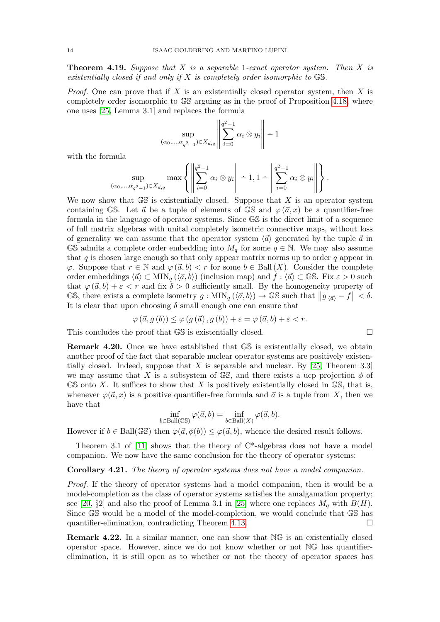<span id="page-13-0"></span>**Theorem 4.19.** Suppose that  $X$  is a separable 1-exact operator system. Then  $X$  is existentially closed if and only if  $X$  is completely order isomorphic to  $\mathbb{GS}$ .

*Proof.* One can prove that if X is an existentially closed operator system, then X is completely order isomorphic to GS arguing as in the proof of Proposition [4.18,](#page-12-0) where one uses [\[25,](#page-19-13) Lemma 3.1] and replaces the formula

 $\overline{11}$ 

$$
\sup_{(\alpha_0,\dots,\alpha_{q^2-1})\in X_{\vec{\alpha},q}}\left\|\sum_{i=0}^{q^2-1}\alpha_i\otimes y_i\right\| \doteq 1
$$

with the formula

$$
\sup_{(\alpha_0,\dots,\alpha_{q^2-1})\in X_{\vec{\alpha},q}} \max\left\{\left\|\sum_{i=0}^{q^2-1} \alpha_i \otimes y_i\right\| - 1, 1 - \left\|\sum_{i=0}^{q^2-1} \alpha_i \otimes y_i\right\|\right\}.
$$

We now show that  $\mathbb{GS}$  is existentially closed. Suppose that X is an operator system containing GS. Let  $\vec{a}$  be a tuple of elements of GS and  $\varphi(\vec{a},x)$  be a quantifier-free formula in the language of operator systems. Since GS is the direct limit of a sequence of full matrix algebras with unital completely isometric connective maps, without loss of generality we can assume that the operator system  $\langle \vec{a} \rangle$  generated by the tuple  $\vec{a}$  in GS admits a complete order embedding into  $M_q$  for some  $q \in \mathbb{N}$ . We may also assume that  $q$  is chosen large enough so that only appear matrix norms up to order  $q$  appear in  $\varphi$ . Suppose that  $r \in \mathbb{N}$  and  $\varphi(\vec{a}, b) < r$  for some  $b \in \text{Ball}(X)$ . Consider the complete order embeddings  $\langle \vec{a} \rangle \subset \text{MIN}_q (\langle \vec{a}, b \rangle)$  (inclusion map) and  $f : \langle \vec{a} \rangle \subset \mathbb{GS}$ . Fix  $\varepsilon > 0$  such that  $\varphi(\vec{a}, b) + \varepsilon < r$  and fix  $\delta > 0$  sufficiently small. By the homogeneity property of GS, there exists a complete isometry  $g : \text{MIN}_q (\langle \vec{a}, b \rangle) \to \text{GS}$  such that  $||g_{|\langle \vec{a} \rangle} - f|| < \delta$ . It is clear that upon choosing  $\delta$  small enough one can ensure that

$$
\varphi(\vec{a}, g(b)) \le \varphi(g(\vec{a}), g(b)) + \varepsilon = \varphi(\vec{a}, b) + \varepsilon < r.
$$

This concludes the proof that  $\mathbb{GS}$  is existentially closed.

Remark 4.20. Once we have established that GS is existentially closed, we obtain another proof of the fact that separable nuclear operator systems are positively existentially closed. Indeed, suppose that X is separable and nuclear. By  $[25,$  Theorem 3.3] we may assume that X is a subsystem of GS, and there exists a ucp projection  $\phi$  of  $\mathbb{GS}$  onto X. It suffices to show that X is positively existentially closed in  $\mathbb{GS}$ , that is, whenever  $\varphi(\vec{a}, x)$  is a positive quantifier-free formula and  $\vec{a}$  is a tuple from X, then we have that

$$
\inf_{b \in \text{Ball}(\mathbb{GS})} \varphi(\vec{a}, b) = \inf_{b \in \text{Ball}(X)} \varphi(\vec{a}, b).
$$

However if  $b \in \text{Ball}(\mathbb{GS})$  then  $\varphi(\vec{a}, \phi(b)) \leq \varphi(\vec{a}, b)$ , whence the desired result follows.

Theorem 3.1 of  $[11]$  shows that the theory of  $C^*$ -algebras does not have a model companion. We now have the same conclusion for the theory of operator systems:

#### Corollary 4.21. The theory of operator systems does not have a model companion.

Proof. If the theory of operator systems had a model companion, then it would be a model-completion as the class of operator systems satisfies the amalgamation property; see [\[20,](#page-19-19)  $\S2$ ] and also the proof of Lemma 3.1 in [\[25\]](#page-19-13) where one replaces  $M_q$  with  $B(H)$ . Since GS would be a model of the model-completion, we would conclude that GS has quantifier-elimination, contradicting Theorem [4.13.](#page-10-0)

Remark 4.22. In a similar manner, one can show that NG is an existentially closed operator space. However, since we do not know whether or not NG has quantifierelimination, it is still open as to whether or not the theory of operator spaces has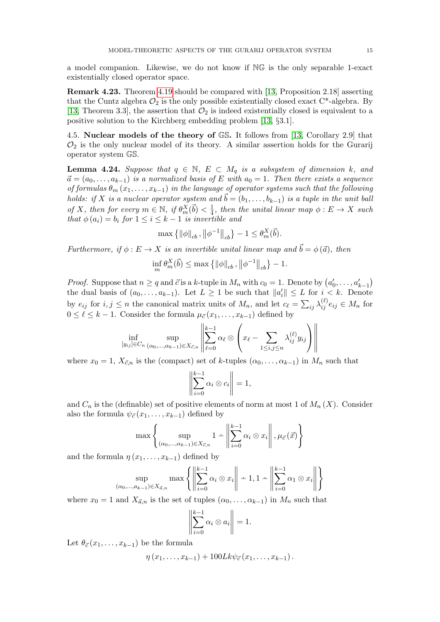a model companion. Likewise, we do not know if NG is the only separable 1-exact existentially closed operator space.

Remark 4.23. Theorem [4.19](#page-13-0) should be compared with [\[13,](#page-19-9) Proposition 2.18] asserting that the Cuntz algebra  $\mathcal{O}_2$  is the only possible existentially closed exact C<sup>\*</sup>-algebra. By [\[13,](#page-19-9) Theorem 3.3], the assertion that  $\mathcal{O}_2$  is indeed existentially closed is equivalent to a positive solution to the Kirchberg embedding problem [\[13,](#page-19-9) §3.1].

4.5. Nuclear models of the theory of GS. It follows from [\[13,](#page-19-9) Corollary 2.9] that  $\mathcal{O}_2$  is the only nuclear model of its theory. A similar assertion holds for the Gurarij operator system GS.

<span id="page-14-0"></span>**Lemma 4.24.** Suppose that  $q \in \mathbb{N}$ ,  $E \subset M_q$  is a subsystem of dimension k, and  $\vec{a} = (a_0, \ldots, a_{k-1})$  is a normalized basis of E with  $a_0 = 1$ . Then there exists a sequence of formulas  $\theta_m(x_1,\ldots,x_{k-1})$  in the language of operator systems such that the following holds: if X is a nuclear operator system and  $\vec{b} = (b_1, \ldots, b_{k-1})$  is a tuple in the unit ball of X, then for every  $m \in \mathbb{N}$ , if  $\theta_m^X(\vec{b}) < \frac{1}{4}$  $\frac{1}{4}$ , then the unital linear map  $\phi : E \to X$  such that  $\phi(a_i) = b_i$  for  $1 \leq i \leq k-1$  is invertible and

$$
\max\left\{\left\|\phi\right\|_{cb}, \left\|\phi^{-1}\right\|_{cb}\right\} - 1 \leq \theta_m^X(\vec{b}).
$$

Furthermore, if  $\phi : E \to X$  is an invertible unital linear map and  $\vec{b} = \phi(\vec{a})$ , then

$$
\inf_{m} \theta_{m}^{X}(\vec{b}) \le \max \{ ||\phi||_{cb}, ||\phi^{-1}||_{cb} \} - 1.
$$

*Proof.* Suppose that  $n \geq q$  and  $\vec{c}$  is a k-tuple in  $M_n$  with  $c_0 = 1$ . Denote by  $(a'_0, \ldots, a'_{k-1})$ the dual basis of  $(a_0, \ldots, a_{k-1})$ . Let  $L \geq 1$  be such that  $||a'_i|| \leq L$  for  $i < k$ . Denote by  $e_{ij}$  for  $i, j \leq n$  the canonical matrix units of  $M_n$ , and let  $c_\ell = \sum_{ij} \lambda_{ij}^{(\ell)} e_{ij} \in M_n$  for  $0 \leq \ell \leq k - 1$ . Consider the formula  $\mu_{\vec{c}}(x_1, \ldots, x_{k-1})$  defined by

$$
\inf_{[y_{ij}]\in C_n} \sup_{(\alpha_0,\dots,\alpha_{k-1})\in X_{\vec{c},n}} \left\| \sum_{\ell=0}^{k-1} \alpha_\ell \otimes \left( x_\ell - \sum_{1\leq i,j\leq n} \lambda_{ij}^{(\ell)} y_{ij} \right) \right\|
$$

where  $x_0 = 1, X_{\vec{c},n}$  is the (compact) set of k-tuples  $(\alpha_0, \ldots, \alpha_{k-1})$  in  $M_n$  such that

$$
\left\| \sum_{i=0}^{k-1} \alpha_i \otimes c_i \right\| = 1,
$$

and  $C_n$  is the (definable) set of positive elements of norm at most 1 of  $M_n(X)$ . Consider also the formula  $\psi_{\vec{c}}(x_1, \ldots, x_{k-1})$  defined by

$$
\max \left\{ \sup_{(\alpha_0, ..., \alpha_{k-1}) \in X_{\vec{c},n}} 1 - \left\| \sum_{i=0}^{k-1} \alpha_i \otimes x_i \right\|, \mu_{\vec{c}}(\vec{x}) \right\}
$$

and the formula  $\eta(x_1, \ldots, x_{k-1})$  defined by

$$
\sup_{(\alpha_0,\dots,a_{k-1})\in X_{\vec{a},n}} \max\left\{\left\|\sum_{i=0}^{k-1} \alpha_i \otimes x_i\right\| - 1, 1 - \left\|\sum_{i=0}^{k-1} \alpha_i \otimes x_i\right\|\right\}
$$

where  $x_0 = 1$  and  $X_{\vec{a},n}$  is the set of tuples  $(\alpha_0, \ldots, \alpha_{k-1})$  in  $M_n$  such that

$$
\left\| \sum_{i=0}^{k-1} \alpha_i \otimes a_i \right\| = 1.
$$

Let  $\theta_{\vec{c}}(x_1, \ldots, x_{k-1})$  be the formula

$$
\eta(x_1,\ldots,x_{k-1})+100Lk\psi_{\vec{c}}(x_1,\ldots,x_{k-1}).
$$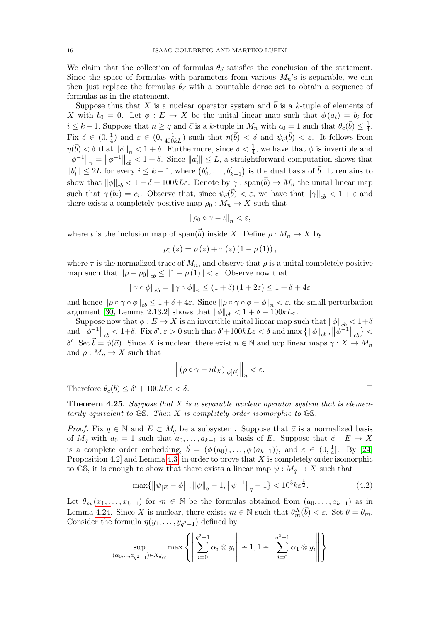We claim that the collection of formulas  $\theta_{\vec{c}}$  satisfies the conclusion of the statement. Since the space of formulas with parameters from various  $M_n$ 's is separable, we can then just replace the formulas  $\theta_{\vec{c}}$  with a countable dense set to obtain a sequence of formulas as in the statement.

Suppose thus that X is a nuclear operator system and  $\vec{b}$  is a k-tuple of elements of X with  $b_0 = 0$ . Let  $\phi : E \to X$  be the unital linear map such that  $\phi(a_i) = b_i$  for  $i \leq k-1$ . Suppose that  $n \geq q$  and  $\vec{c}$  is a k-tuple in  $M_n$  with  $c_0 = 1$  such that  $\theta_{\vec{c}}(\vec{b}) \leq \frac{1}{4}$  $\frac{1}{4}$ . Fix  $\delta \in (0, \frac{1}{4})$  $\frac{1}{4}$ ) and  $\varepsilon \in (0, \frac{1}{400kL})$  such that  $\eta(\vec{b}) < \delta$  and  $\psi_{\vec{c}}(\vec{b}) < \varepsilon$ . It follows from  $\eta(\vec{b}) < \delta$  that  $\|\phi\|_n < 1 + \delta$ . Furthermore, since  $\delta < \frac{1}{4}$ , we have that  $\phi$  is invertible and  $\left\|\phi^{-1}\right\|_{n} = \left\|\phi^{-1}\right\|_{cb} < 1+\delta$ . Since  $\left\|a'_{i}\right\| \leq L$ , a straightforward computation shows that  $||b'_i|| \leq 2L$  for every  $i \leq k-1$ , where  $(b'_0, \ldots, b'_{k-1})$  is the dual basis of  $\vec{b}$ . It remains to show that  $\|\phi\|_{cb} < 1 + \delta + 100kL\varepsilon$ . Denote by  $\gamma : \text{span}(\vec{b}) \to M_n$  the unital linear map such that  $\gamma(b_i) = c_i$ . Observe that, since  $\psi_{\vec{c}}(\vec{b}) < \varepsilon$ , we have that  $\|\gamma\|_{cb} < 1 + \varepsilon$  and there exists a completely positive map  $\rho_0 : M_n \to X$  such that

$$
\|\rho_0\circ\gamma-\iota\|_n<\varepsilon,
$$

where  $\iota$  is the inclusion map of span( $\vec{b}$ ) inside X. Define  $\rho : M_n \to X$  by

$$
\rho_0(z) = \rho(z) + \tau(z) (1 - \rho(1)),
$$

where  $\tau$  is the normalized trace of  $M_n$ , and observe that  $\rho$  is a unital completely positive map such that  $\|\rho - \rho_0\|_{cb} \le \|1 - \rho(1)\| < \varepsilon$ . Observe now that

$$
\|\gamma \circ \phi\|_{cb} = \|\gamma \circ \phi\|_{n} \le (1+\delta) (1+2\varepsilon) \le 1+\delta+4\varepsilon
$$

and hence  $\|\rho \circ \gamma \circ \phi\|_{cb} \leq 1 + \delta + 4\varepsilon$ . Since  $\|\rho \circ \gamma \circ \phi - \phi\|_{nc} < \varepsilon$ , the small perturbation argument [\[30,](#page-19-8) Lemma 2.13.2] shows that  $\|\phi\|_{cb} < 1 + \delta + 100kL\varepsilon$ .

Suppose now that  $\phi: E \to X$  is an invertible unital linear map such that  $\|\phi\|_{cb} < 1+\delta$  $\text{and } \left\|\phi^{-1}_-\right\|_{cb} < 1+\delta. \text{ Fix } \delta', \varepsilon > 0 \text{ such that } \delta' + 100kL\varepsilon < \delta \text{ and } \max\left\{\|\phi\|_{cb}, \left\|\phi^{-1}\right\|_{cb}\right\} < \delta.$ δ'. Set  $\vec{b} = \phi(\vec{a})$ . Since X is nuclear, there exist  $n \in \mathbb{N}$  and ucp linear maps  $\gamma : X \to M_n$ and  $\rho: M_n \to X$  such that

$$
\left\|(\rho\circ\gamma-id_X)_{|\phi[E]}\right\|_n<\varepsilon.
$$

Therefore  $\theta_{\vec{c}}(\vec{b}) \leq \delta' + 100kL\varepsilon < \delta$ .

**Theorem 4.25.** Suppose that X is a separable nuclear operator system that is elementarily equivalent to  $\mathbb{GS}$ . Then X is completely order isomorphic to  $\mathbb{GS}$ .

*Proof.* Fix  $q \in \mathbb{N}$  and  $E \subset M_q$  be a subsystem. Suppose that  $\vec{a}$  is a normalized basis of  $M_q$  with  $a_0 = 1$  such that  $a_0, \ldots, a_{k-1}$  is a basis of E. Suppose that  $\phi : E \to X$ is a complete order embedding,  $\vec{b} = (\phi(a_0), \dots, \phi(a_{k-1}))$ , and  $\varepsilon \in (0, \frac{1}{4})$  $\frac{1}{4}$ . By [\[24,](#page-19-5) Proposition 4.2] and Lemma [4.3,](#page-8-3) in order to prove that  $X$  is completely order isomorphic to GS, it is enough to show that there exists a linear map  $\psi : M_q \to X$  such that

<span id="page-15-0"></span>
$$
\max\{\left\|\psi_{|E} - \phi\right\|, \left\|\psi\right\|_{q} - 1, \left\|\psi^{-1}\right\|_{q} - 1\} < 10^{3}k\epsilon^{\frac{1}{2}}.\tag{4.2}
$$

Let  $\theta_m(x_1,\ldots,x_{k-1})$  for  $m \in \mathbb{N}$  be the formulas obtained from  $(a_0,\ldots,a_{k-1})$  as in Lemma [4.24.](#page-14-0) Since X is nuclear, there exists  $m \in \mathbb{N}$  such that  $\theta_m^X(\vec{b}) < \varepsilon$ . Set  $\theta = \theta_m$ . Consider the formula  $\eta(y_1,\ldots,y_{q^2-1})$  defined by

$$
\sup_{(\alpha_0, ..., \alpha_{q^2-1}) \in X_{\vec{a}, q}} \max \left\{ \left\| \sum_{i=0}^{q^2-1} \alpha_i \otimes y_i \right\| \div 1, 1 - \left\| \sum_{i=0}^{q^2-1} \alpha_i \otimes y_i \right\| \right\}
$$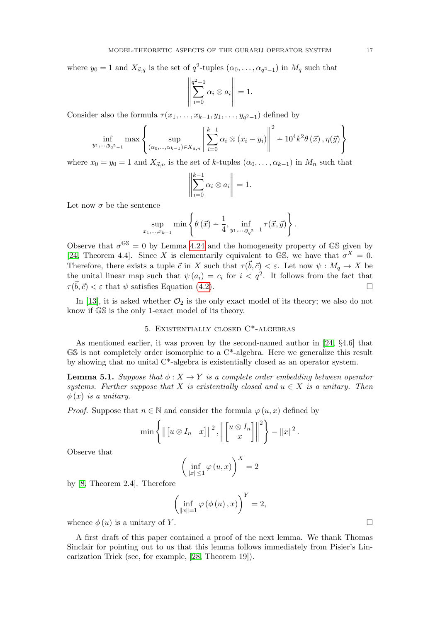where  $y_0 = 1$  and  $X_{\vec{a},q}$  is the set of  $q^2$ -tuples  $(\alpha_0, \ldots, \alpha_{q^2-1})$  in  $M_q$  such that

$$
\left\| \sum_{i=0}^{q^2-1} \alpha_i \otimes a_i \right\| = 1.
$$

Consider also the formula  $\tau(x_1, \ldots, x_{k-1}, y_1, \ldots, y_{q^2-1})$  defined by

$$
\inf_{y_1, ..., y_{q^2-1}} \max \left\{ \sup_{(\alpha_0, ..., \alpha_{k-1}) \in X_{\vec{a},n}} \left\| \sum_{i=0}^{k-1} \alpha_i \otimes (x_i - y_i) \right\|^2 - 10^4 k^2 \theta(\vec{x}), \eta(\vec{y}) \right\}
$$

where  $x_0 = y_0 = 1$  and  $X_{\vec{a},n}$  is the set of k-tuples  $(\alpha_0, \ldots, \alpha_{k-1})$  in  $M_n$  such that

$$
\left\| \sum_{i=0}^{k-1} \alpha_i \otimes a_i \right\| = 1.
$$

Let now  $\sigma$  be the sentence

$$
\sup_{x_1,\dots,x_{k-1}} \min \left\{ \theta(\vec{x}) - \frac{1}{4}, \inf_{y_1,\dots,y_{q^2}-1} \tau(\vec{x},\vec{y}) \right\}.
$$

Observe that  $\sigma^{\mathbb{GS}} = 0$  by Lemma [4.24](#page-14-0) and the homogeneity property of GS given by [\[24,](#page-19-5) Theorem 4.4]. Since X is elementarily equivalent to GS, we have that  $\sigma^X = 0$ . Therefore, there exists a tuple  $\vec{c}$  in X such that  $\tau(\vec{b}, \vec{c}) < \varepsilon$ . Let now  $\psi : M_q \to X$  be the unital linear map such that  $\psi(a_i) = c_i$  for  $i < q^2$ . It follows from the fact that  $\tau(\vec{b}, \vec{c}) < \varepsilon$  that  $\psi$  satisfies Equation [\(4.2\)](#page-15-0).

In [\[13\]](#page-19-9), it is asked whether  $\mathcal{O}_2$  is the only exact model of its theory; we also do not know if GS is the only 1-exact model of its theory.

## 5. Existentially closed C\*-algebras

As mentioned earlier, it was proven by the second-named author in [\[24,](#page-19-5) §4.6] that  $\mathbb{GS}$  is not completely order isomorphic to a  $\mathbb{C}^*$ -algebra. Here we generalize this result by showing that no unital  $C^*$ -algebra is existentially closed as an operator system.

<span id="page-16-0"></span>**Lemma 5.1.** Suppose that  $\phi: X \to Y$  is a complete order embedding between operator systems. Further suppose that X is existentially closed and  $u \in X$  is a unitary. Then  $\phi(x)$  is a unitary.

*Proof.* Suppose that  $n \in \mathbb{N}$  and consider the formula  $\varphi(u, x)$  defined by

$$
\min \left\{ \left\| \begin{bmatrix} u \otimes I_n & x \end{bmatrix} \right\|^2, \left\| \begin{bmatrix} u \otimes I_n \\ x \end{bmatrix} \right\|^2 \right\} - \|x\|^2.
$$

Observe that

$$
\left(\inf_{\|x\|\leq 1}\varphi\left(u,x\right)\right)^{X}=2
$$

by [\[8,](#page-18-4) Theorem 2.4]. Therefore

$$
\left(\inf_{\|x\|=1} \varphi(\phi(u),x)\right)^{Y}=2,
$$

whence  $\phi(u)$  is a unitary of Y.

A first draft of this paper contained a proof of the next lemma. We thank Thomas Sinclair for pointing out to us that this lemma follows immediately from Pisier's Linearization Trick (see, for example, [\[28,](#page-19-20) Theorem 19]).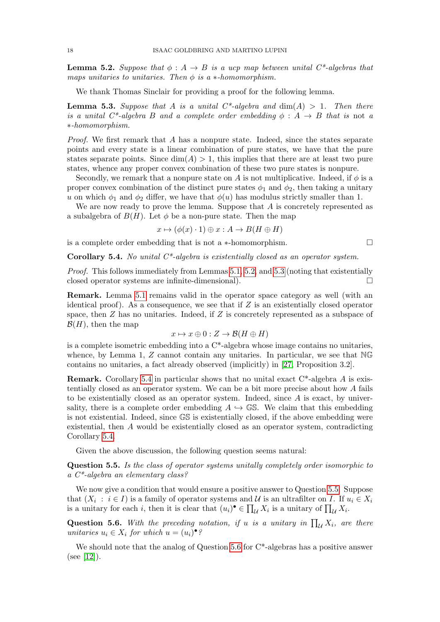<span id="page-17-0"></span>**Lemma 5.2.** Suppose that  $\phi: A \rightarrow B$  is a ucp map between unital  $C^*$ -algebras that maps unitaries to unitaries. Then  $\phi$  is a  $*$ -homomorphism.

We thank Thomas Sinclair for providing a proof for the following lemma.

<span id="page-17-1"></span>**Lemma 5.3.** Suppose that A is a unital  $C^*$ -algebra and  $dim(A) > 1$ . Then there is a unital  $C^*$ -algebra B and a complete order embedding  $\phi : A \rightarrow B$  that is not a ∗-homomorphism.

Proof. We first remark that A has a nonpure state. Indeed, since the states separate points and every state is a linear combination of pure states, we have that the pure states separate points. Since  $\dim(A) > 1$ , this implies that there are at least two pure states, whence any proper convex combination of these two pure states is nonpure.

Secondly, we remark that a nonpure state on A is not multiplicative. Indeed, if  $\phi$  is a proper convex combination of the distinct pure states  $\phi_1$  and  $\phi_2$ , then taking a unitary u on which  $\phi_1$  and  $\phi_2$  differ, we have that  $\phi(u)$  has modulus strictly smaller than 1.

We are now ready to prove the lemma. Suppose that  $A$  is concretely represented as a subalgebra of  $B(H)$ . Let  $\phi$  be a non-pure state. Then the map

$$
x \mapsto (\phi(x) \cdot 1) \oplus x : A \to B(H \oplus H)
$$

is a complete order embedding that is not a  $*$ -homomorphism.

<span id="page-17-2"></span>**Corollary 5.4.** No unital  $C^*$ -algebra is existentially closed as an operator system.

Proof. This follows immediately from Lemmas [5.1,](#page-16-0) [5.2,](#page-17-0) and [5.3](#page-17-1) (noting that existentially closed operator systems are infinite-dimensional).  $\Box$ 

Remark. Lemma [5.1](#page-16-0) remains valid in the operator space category as well (with an identical proof). As a consequence, we see that if  $Z$  is an existentially closed operator space, then  $Z$  has no unitaries. Indeed, if  $Z$  is concretely represented as a subspace of  $\mathcal{B}(H)$ , then the map

$$
x \mapsto x \oplus 0 : Z \to \mathcal{B}(H \oplus H)
$$

is a complete isometric embedding into a  $C^*$ -algebra whose image contains no unitaries, whence, by Lemma 1,  $Z$  cannot contain any unitaries. In particular, we see that  $NG$ contains no unitaries, a fact already observed (implicitly) in [\[27,](#page-19-3) Proposition 3.2].

Remark. Corollary [5.4](#page-17-2) in particular shows that no unital exact C\*-algebra A is existentially closed as an operator system. We can be a bit more precise about how A fails to be existentially closed as an operator system. Indeed, since  $A$  is exact, by universality, there is a complete order embedding  $A \hookrightarrow \mathbb{GS}$ . We claim that this embedding is not existential. Indeed, since GS is existentially closed, if the above embedding were existential, then A would be existentially closed as an operator system, contradicting Corollary [5.4.](#page-17-2)

Given the above discussion, the following question seems natural:

<span id="page-17-3"></span>Question 5.5. Is the class of operator systems unitally completely order isomorphic to a C\*-algebra an elementary class?

We now give a condition that would ensure a positive answer to Question [5.5.](#page-17-3) Suppose that  $(X_i : i \in I)$  is a family of operator systems and U is an ultrafilter on I. If  $u_i \in X_i$ is a unitary for each i, then it is clear that  $(u_i)^\bullet \in \prod_{\mathcal{U}} X_i$  is a unitary of  $\prod_{\mathcal{U}} X_i$ .

<span id="page-17-4"></span>**Question 5.6.** With the preceding notation, if u is a unitary in  $\prod_{\mathcal{U}} X_i$ , are there unitaries  $u_i \in X_i$  for which  $u = (u_i) \bullet \S$ 

We should note that the analog of Question  $5.6$  for  $C^*$ -algebras has a positive answer  $(see [12]).$  $(see [12]).$  $(see [12]).$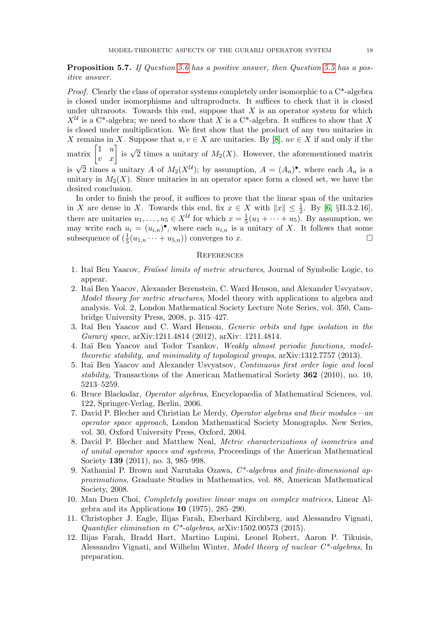Proposition 5.7. If Question [5.6](#page-17-4) has a positive answer, then Question [5.5](#page-17-3) has a positive answer.

*Proof.* Clearly the class of operator systems completely order isomorphic to a  $C^*$ -algebra is closed under isomorphisms and ultraproducts. It suffices to check that it is closed under ultraroots. Towards this end, suppose that  $X$  is an operator system for which  $X^{\mathcal{U}}$  is a C<sup>\*</sup>-algebra; we need to show that X is a C<sup>\*</sup>-algebra. It suffices to show that X is closed under multiplication. We first show that the product of any two unitaries in X remains in X. Suppose that  $u, v \in X$  are unitaries. By [\[8\]](#page-18-4),  $uv \in X$  if and only if the matrix  $\begin{bmatrix} 1 & u \\ v & x \end{bmatrix}$  is  $\sqrt{2}$  times a unitary of  $M_2(X)$ . However, the aforementioned matrix is  $\sqrt{2}$  times a unitary A of  $M_2(X^{\mathcal{U}})$ ; by assumption,  $A = (A_n)^{\bullet}$ , where each  $A_n$  is a unitary in  $M_2(X)$ . Since unitaries in an operator space form a closed set, we have the desired conclusion.

In order to finish the proof, it suffices to prove that the linear span of the unitaries in X are dense in X. Towards this end, fix  $x \in X$  with  $||x|| \leq \frac{1}{2}$ . By [\[6,](#page-18-6) §II.3.2.16], there are unitaries  $u_1, \ldots, u_5 \in X^{\mathcal{U}}$  for which  $x = \frac{1}{5}$  $\frac{1}{5}(u_1 + \cdots + u_5)$ . By assumption, we may write each  $u_i = (u_{i,n})^{\bullet}$ , where each  $u_{i,n}$  is a unitary of X. It follows that some subsequence of  $(\frac{1}{5}(u_{1,n}\cdots+u_{5,n}))$  converges to x.

#### **REFERENCES**

- <span id="page-18-0"></span>1. Itaï Ben Yaacov, Fraïssé limits of metric structures, Journal of Symbolic Logic, to appear.
- <span id="page-18-9"></span>2. Ita¨ı Ben Yaacov, Alexander Berenstein, C. Ward Henson, and Alexander Usvyatsov, Model theory for metric structures, Model theory with applications to algebra and analysis. Vol. 2, London Mathematical Society Lecture Note Series, vol. 350, Cambridge University Press, 2008, p. 315–427.
- <span id="page-18-1"></span>3. Itaï Ben Yaacov and C. Ward Henson, Generic orbits and type isolation in the Gurarij space, arXiv:1211.4814 (2012), arXiv: 1211.4814.
- <span id="page-18-7"></span>4. Itaï Ben Yaacov and Todor Tsankov, Weakly almost periodic functions, modeltheoretic stability, and minimality of topological groups, arXiv:1312.7757 (2013).
- <span id="page-18-10"></span>5. Itaï Ben Yaacov and Alexander Usvyatsov, Continuous first order logic and local stability, Transactions of the American Mathematical Society 362 (2010), no. 10, 5213–5259.
- <span id="page-18-6"></span>6. Bruce Blackadar, Operator algebras, Encyclopaedia of Mathematical Sciences, vol. 122, Springer-Verlag, Berlin, 2006.
- <span id="page-18-5"></span>7. David P. Blecher and Christian Le Merdy, Operator algebras and their modules—an operator space approach, London Mathematical Society Monographs. New Series, vol. 30, Oxford University Press, Oxford, 2004.
- <span id="page-18-4"></span>8. David P. Blecher and Matthew Neal, Metric characterizations of isometries and of unital operator spaces and systems, Proceedings of the American Mathematical Society **139** (2011), no. 3, 985–998.
- <span id="page-18-8"></span>9. Nathanial P. Brown and Narutaka Ozawa, C\*-algebras and finite-dimensional approximations, Graduate Studies in Mathematics, vol. 88, American Mathematical Society, 2008.
- <span id="page-18-2"></span>10. Man Duen Choi, Completely positive linear maps on complex matrices, Linear Algebra and its Applications 10 (1975), 285–290.
- <span id="page-18-11"></span>11. Christopher J. Eagle, Ilijas Farah, Eberhard Kirchberg, and Alessandro Vignati, Quantifier elimination in  $C^*$ -algebras, arXiv:1502.00573 (2015).
- <span id="page-18-3"></span>12. Ilijas Farah, Bradd Hart, Martino Lupini, Leonel Robert, Aaron P. Tikuisis, Alessandro Vignati, and Wilhelm Winter, *Model theory of nuclear*  $C^*$ -algebras, In preparation.